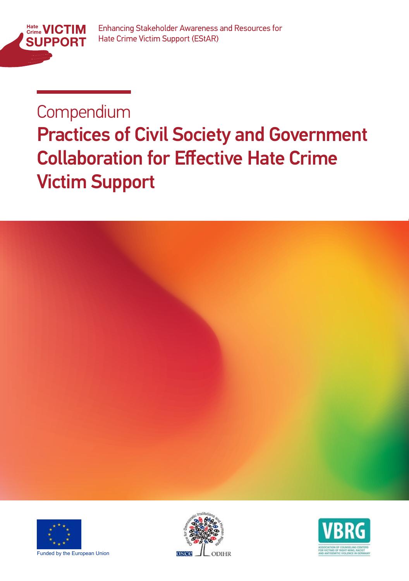

### Compendium

# **Practices of Civil Society and Government Collaboration for Effective Hate Crime** Victim Support







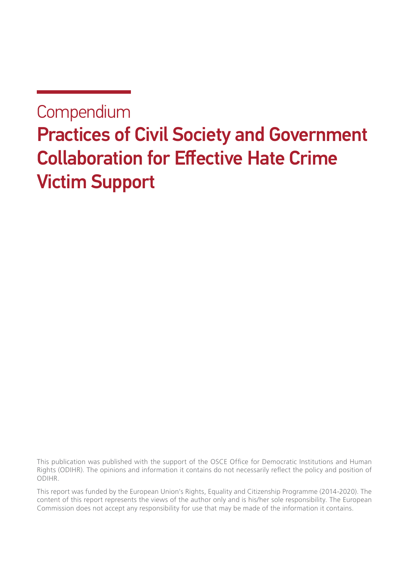#### **Compendium**

### Practices of Civil Society and Government Collaboration for Effective Hate Crime Victim Support

This publication was published with the support of the OSCE Office for Democratic Institutions and Human Rights (ODIHR). The opinions and information it contains do not necessarily reflect the policy and position of ODIHR.

This report was funded by the European Union's Rights, Equality and Citizenship Programme (2014-2020). The content of this report represents the views of the author only and is his/her sole responsibility. The European Commission does not accept any responsibility for use that may be made of the information it contains.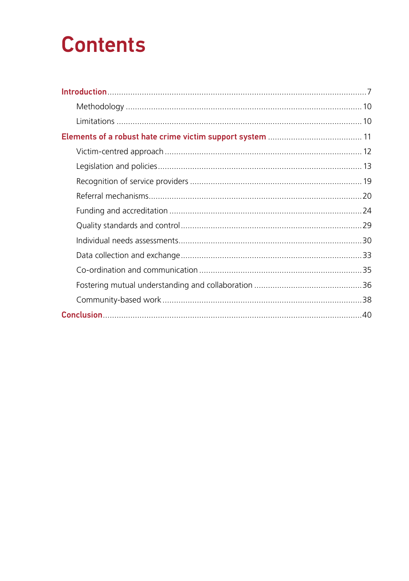# **Contents**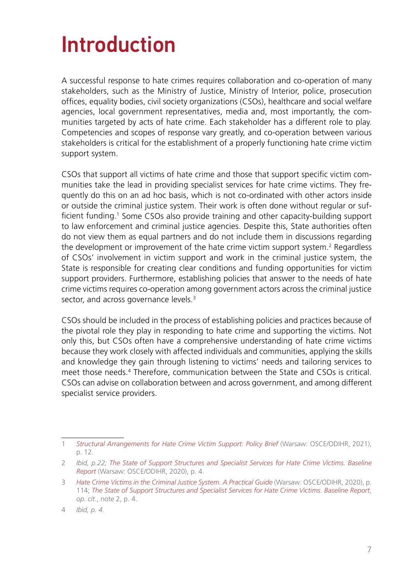# <span id="page-6-0"></span>Introduction

A successful response to hate crimes requires collaboration and co-operation of many stakeholders, such as the Ministry of Justice, Ministry of Interior, police, prosecution offices, equality bodies, civil society organizations (CSOs), healthcare and social welfare agencies, local government representatives, media and, most importantly, the communities targeted by acts of hate crime. Each stakeholder has a different role to play. Competencies and scopes of response vary greatly, and co-operation between various stakeholders is critical for the establishment of a properly functioning hate crime victim support system.

CSOs that support all victims of hate crime and those that support specific victim communities take the lead in providing specialist services for hate crime victims. They frequently do this on an ad hoc basis, which is not co-ordinated with other actors inside or outside the criminal justice system. Their work is often done without regular or sufficient funding.<sup>1</sup> Some CSOs also provide training and other capacity-building support to law enforcement and criminal justice agencies. Despite this, State authorities often do not view them as equal partners and do not include them in discussions regarding the development or improvement of the hate crime victim support system.<sup>2</sup> Regardless of CSOs' involvement in victim support and work in the criminal justice system, the State is responsible for creating clear conditions and funding opportunities for victim support providers. Furthermore, establishing policies that answer to the needs of hate crime victims requires co-operation among government actors across the criminal justice sector, and across governance levels.<sup>3</sup>

CSOs should be included in the process of establishing policies and practices because of the pivotal role they play in responding to hate crime and supporting the victims. Not only this, but CSOs often have a comprehensive understanding of hate crime victims because they work closely with affected individuals and communities, applying the skills and knowledge they gain through listening to victims' needs and tailoring services to meet those needs.4 Therefore, communication between the State and CSOs is critical. CSOs can advise on collaboration between and across government, and among different specialist service providers.

<sup>1</sup> *[Structural Arrangements for Hate Crime Victim Support: Policy Brief](https://www.osce.org/files/f/documents/6/4/510857.pdf)* (Warsaw: OSCE/ODIHR, 2021), p. 12.

<sup>2</sup> *Ibid, p.22; [The State of Support Structures and Specialist Services for Hate Crime Victims. Baseline](https://www.osce.org/files/f/documents/4/3/467916.pdf) [Report](https://www.osce.org/files/f/documents/4/3/467916.pdf)* (Warsaw: OSCE/ODIHR, 2020), p. 4.

<sup>3</sup> *[Hate Crime Victims in the Criminal Justice System. A Practical Guide](https://www.osce.org/files/f/documents/c/5/447028.pdf)* (Warsaw: OSCE/ODIHR, 2020), p. 114; *[The State of Support Structures and Specialist Services for Hate Crime Victims. Baseline Report](https://www.osce.org/files/f/documents/4/3/467916.pdf)*, *op. cit*., note 2, p. 4.

<sup>4</sup> *Ibid, p. 4.*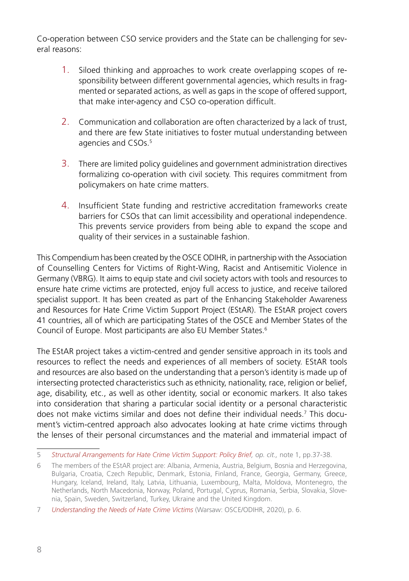Co-operation between CSO service providers and the State can be challenging for several reasons:

- 1. Siloed thinking and approaches to work create overlapping scopes of responsibility between different governmental agencies, which results in fragmented or separated actions, as well as gaps in the scope of offered support, that make inter-agency and CSO co-operation difficult.
- 2. Communication and collaboration are often characterized by a lack of trust, and there are few State initiatives to foster mutual understanding between agencies and CSOs.<sup>5</sup>
- 3. There are limited policy guidelines and government administration directives formalizing co-operation with civil society. This requires commitment from policymakers on hate crime matters.
- 4. Insufficient State funding and restrictive accreditation frameworks create barriers for CSOs that can limit accessibility and operational independence. This prevents service providers from being able to expand the scope and quality of their services in a sustainable fashion.

This Compendium has been created by the OSCE ODIHR, in partnership with the Association of Counselling Centers for Victims of Right-Wing, Racist and Antisemitic Violence in Germany (VBRG). It aims to equip state and civil society actors with tools and resources to ensure hate crime victims are protected, enjoy full access to justice, and receive tailored specialist support. It has been created as part of the Enhancing Stakeholder Awareness and Resources for Hate Crime Victim Support Project (EStAR). The EStAR project covers 41 countries, all of which are participating States of the OSCE and Member States of the Council of Europe. Most participants are also EU Member States.6

The EStAR project takes a victim-centred and gender sensitive approach in its tools and resources to reflect the needs and experiences of all members of society. EStAR tools and resources are also based on the understanding that a person's identity is made up of intersecting protected characteristics such as ethnicity, nationality, race, religion or belief, age, disability, etc., as well as other identity, social or economic markers. It also takes into consideration that sharing a particular social identity or a personal characteristic does not make victims similar and does not define their individual needs.<sup>7</sup> This document's victim-centred approach also advocates looking at hate crime victims through the lenses of their personal circumstances and the material and immaterial impact of

<sup>5</sup> *[Structural Arrangements for Hate Crime Victim Support: Policy Brief,](https://www.osce.org/files/f/documents/6/4/510857.pdf) op. cit.,* note 1, pp.37-38.

<sup>6</sup> The members of the EStAR project are: Albania, Armenia, Austria, Belgium, Bosnia and Herzegovina, Bulgaria, Croatia, Czech Republic, Denmark, Estonia, Finland, France, Georgia, Germany, Greece, Hungary, Iceland, Ireland, Italy, Latvia, Lithuania, Luxembourg, Malta, Moldova, Montenegro, the Netherlands, North Macedonia, Norway, Poland, Portugal, Cyprus, Romania, Serbia, Slovakia, Slovenia, Spain, Sweden, Switzerland, Turkey, Ukraine and the United Kingdom.

<sup>7</sup> *[Understanding the Needs of Hate Crime Victims](https://www.osce.org/odihr/463011)* (Warsaw: OSCE/ODIHR, 2020), p. 6.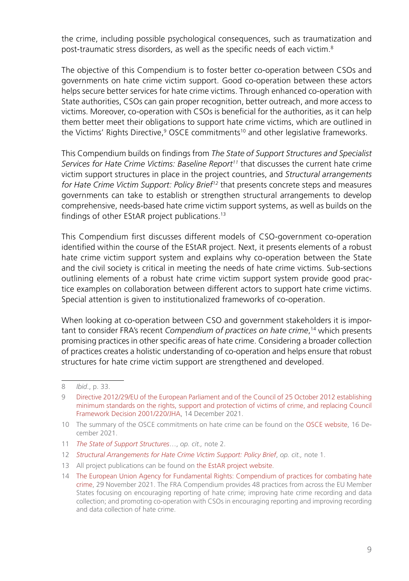the crime, including possible psychological consequences, such as traumatization and post-traumatic stress disorders, as well as the specific needs of each victim.8

The objective of this Compendium is to foster better co-operation between CSOs and governments on hate crime victim support. Good co-operation between these actors helps secure better services for hate crime victims. Through enhanced co-operation with State authorities, CSOs can gain proper recognition, better outreach, and more access to victims. Moreover, co-operation with CSOs is beneficial for the authorities, as it can help them better meet their obligations to support hate crime victims, which are outlined in the Victims' Rights Directive,<sup>9</sup> OSCE commitments<sup>10</sup> and other legislative frameworks.

This Compendium builds on findings from *The State of Support Structures and Specialist Services for Hate Crime Victims: Baseline Report11* that discusses the current hate crime victim support structures in place in the project countries, and *Structural arrangements for Hate Crime Victim Support: Policy Brief12* that presents concrete steps and measures governments can take to establish or strengthen structural arrangements to develop comprehensive, needs-based hate crime victim support systems, as well as builds on the findings of other EStAR project publications.13

This Compendium first discusses different models of CSO-government co-operation identified within the course of the EStAR project. Next, it presents elements of a robust hate crime victim support system and explains why co-operation between the State and the civil society is critical in meeting the needs of hate crime victims. Sub-sections outlining elements of a robust hate crime victim support system provide good practice examples on collaboration between different actors to support hate crime victims. Special attention is given to institutionalized frameworks of co-operation.

When looking at co-operation between CSO and government stakeholders it is important to consider FRA's recent *Compendium of practices on hate crime*, <sup>14</sup> which presents promising practices in other specific areas of hate crime. Considering a broader collection of practices creates a holistic understanding of co-operation and helps ensure that robust structures for hate crime victim support are strengthened and developed.

- 11 *[The State of Support Structures](https://www.osce.org/odihr/467916)*…, *op. cit.,* note 2.
- 12 *[Structural Arrangements for Hate Crime Victim Support: Policy Brief](https://www.osce.org/files/f/documents/6/4/510857.pdf)*, *op. cit.,* note 1.
- 13 All project publications can be found o[n the EstAR project website](https://www.osce.org/odihr/hate-crime-victim-support).

<sup>8</sup> *Ibid*., p. 33.

<sup>9</sup> [Directive 2012/29/EU of the European Parliament and of the Council of 25 October 2012 establishing](https://eur-lex.europa.eu/legal-content/EN/TXT/?uri=celex%3A32012L0029) [minimum standards on the rights, support and protection of victims of crime, and replacing Council](https://eur-lex.europa.eu/legal-content/EN/TXT/?uri=celex%3A32012L0029) [Framework Decision 2001/220/JHA,](https://eur-lex.europa.eu/legal-content/EN/TXT/?uri=celex%3A32012L0029) 14 December 2021.

<sup>10</sup> The summary of the OSCE commitments on hate crime can be found on the [OSCE website](https://hatecrime.osce.org/our-mandate), 16 December 2021.

<sup>14</sup> [The European Union Agency for Fundamental Rights: Compendium of practices for combating hate](https://fra.europa.eu/en/theme/hate-crime/compendium-practices) [crime,](https://fra.europa.eu/en/theme/hate-crime/compendium-practices) 29 November 2021. The FRA Compendium provides 48 practices from across the EU Member States focusing on encouraging reporting of hate crime; improving hate crime recording and data collection; and promoting co-operation with CSOs in encouraging reporting and improving recording and data collection of hate crime.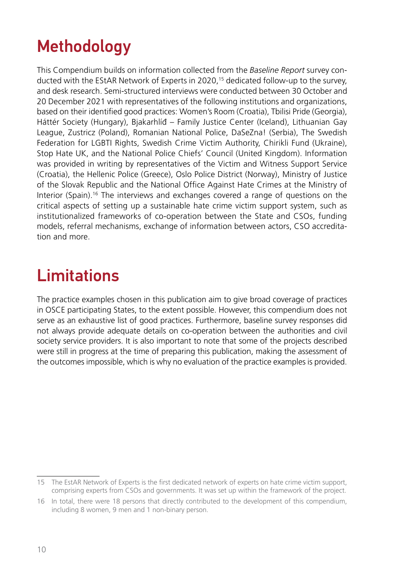### <span id="page-9-0"></span>Methodology

This Compendium builds on information collected from the *Baseline Report* survey conducted with the EStAR Network of Experts in 2020,15 dedicated follow-up to the survey, and desk research. Semi-structured interviews were conducted between 30 October and 20 December 2021 with representatives of the following institutions and organizations, based on their identified good practices: Women's Room (Croatia), Tbilisi Pride (Georgia), Háttér Society (Hungary), Bjakarhlíð – Family Justice Center (Iceland), Lithuanian Gay League, Zustricz (Poland), Romanian National Police, DaSeZna! (Serbia), The Swedish Federation for LGBTI Rights, Swedish Crime Victim Authority, Chirikli Fund (Ukraine), Stop Hate UK, and the National Police Chiefs' Council (United Kingdom). Information was provided in writing by representatives of the Victim and Witness Support Service (Croatia), the Hellenic Police (Greece), Oslo Police District (Norway), Ministry of Justice of the Slovak Republic and the National Office Against Hate Crimes at the Ministry of Interior (Spain).16 The interviews and exchanges covered a range of questions on the critical aspects of setting up a sustainable hate crime victim support system, such as institutionalized frameworks of co-operation between the State and CSOs, funding models, referral mechanisms, exchange of information between actors, CSO accreditation and more.

#### **Limitations**

The practice examples chosen in this publication aim to give broad coverage of practices in OSCE participating States, to the extent possible. However, this compendium does not serve as an exhaustive list of good practices. Furthermore, baseline survey responses did not always provide adequate details on co-operation between the authorities and civil society service providers. It is also important to note that some of the projects described were still in progress at the time of preparing this publication, making the assessment of the outcomes impossible, which is why no evaluation of the practice examples is provided.

<sup>15</sup> The EstAR Network of Experts is the first dedicated network of experts on hate crime victim support, comprising experts from CSOs and governments. It was set up within the framework of the project.

<sup>16</sup> In total, there were 18 persons that directly contributed to the development of this compendium, including 8 women, 9 men and 1 non-binary person.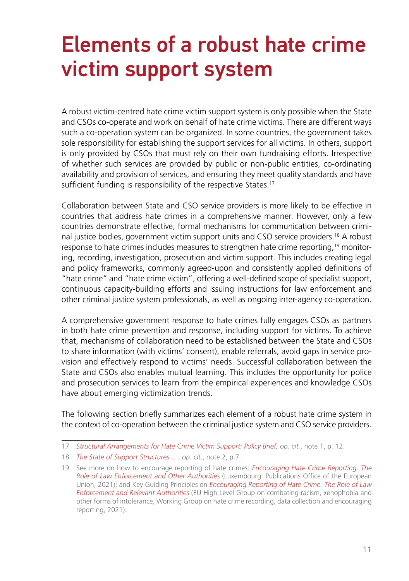### <span id="page-10-0"></span>Elements of a robust hate crime victim support system

A robust victim-centred hate crime victim support system is only possible when the State and CSOs co-operate and work on behalf of hate crime victims. There are different ways such a co-operation system can be organized. In some countries, the government takes sole responsibility for establishing the support services for all victims. In others, support is only provided by CSOs that must rely on their own fundraising efforts. Irrespective of whether such services are provided by public or non-public entities, co-ordinating availability and provision of services, and ensuring they meet quality standards and have sufficient funding is responsibility of the respective States.<sup>17</sup>

Collaboration between State and CSO service providers is more likely to be effective in countries that address hate crimes in a comprehensive manner. However, only a few countries demonstrate effective, formal mechanisms for communication between criminal justice bodies, government victim support units and CSO service providers.18 A robust response to hate crimes includes measures to strengthen hate crime reporting,<sup>19</sup> monitoring, recording, investigation, prosecution and victim support. This includes creating legal and policy frameworks, commonly agreed-upon and consistently applied definitions of "hate crime" and "hate crime victim", offering a well-defined scope of specialist support, continuous capacity-building efforts and issuing instructions for law enforcement and other criminal justice system professionals, as well as ongoing inter-agency co-operation.

A comprehensive government response to hate crimes fully engages CSOs as partners in both hate crime prevention and response, including support for victims. To achieve that, mechanisms of collaboration need to be established between the State and CSOs to share information (with victims' consent), enable referrals, avoid gaps in service provision and effectively respond to victims' needs. Successful collaboration between the State and CSOs also enables mutual learning. This includes the opportunity for police and prosecution services to learn from the empirical experiences and knowledge CSOs have about emerging victimization trends.

The following section briefly summarizes each element of a robust hate crime system in the context of co-operation between the criminal justice system and CSO service providers.

<sup>17</sup> *[Structural Arrangements for Hate Crime Victim Support: Policy Brief,](https://www.osce.org/files/f/documents/6/4/510857.pdf) op. cit.*, note 1, p. 12.

<sup>18</sup> *[The State of Support Structures…](https://www.osce.org/odihr/467916)* , *op. cit*., note 2, p.7.

<sup>19</sup> See more on how to encourage reporting of hate crimes: *[Encouraging Hate Crime Reporting. The](https://fra.europa.eu/sites/default/files/fra_uploads/fra-2021-hate-crime-reporting_en.pdf) [Role of Law Enforcement and Other Authorities](https://fra.europa.eu/sites/default/files/fra_uploads/fra-2021-hate-crime-reporting_en.pdf)* (Luxembourg: Publications Office of the European Union, 2021); and Key Guiding Principles on *[Encouraging Reporting of Hate Crime. The Role of Law](https://ec.europa.eu/newsroom/just/document.cfm?doc_id=75196) [Enforcement and Relevant Authorities](https://ec.europa.eu/newsroom/just/document.cfm?doc_id=75196)* (EU High Level Group on combating racism, xenophobia and other forms of intolerance, Working Group on hate crime recording, data collection and encouraging reporting, 2021).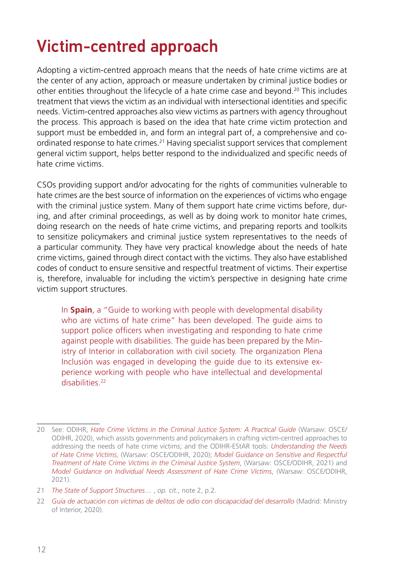### <span id="page-11-0"></span>Victim-centred approach

Adopting a victim-centred approach means that the needs of hate crime victims are at the center of any action, approach or measure undertaken by criminal justice bodies or other entities throughout the lifecycle of a hate crime case and beyond.20 This includes treatment that views the victim as an individual with intersectional identities and specific needs. Victim-centred approaches also view victims as partners with agency throughout the process. This approach is based on the idea that hate crime victim protection and support must be embedded in, and form an integral part of, a comprehensive and coordinated response to hate crimes.21 Having specialist support services that complement general victim support, helps better respond to the individualized and specific needs of hate crime victims.

CSOs providing support and/or advocating for the rights of communities vulnerable to hate crimes are the best source of information on the experiences of victims who engage with the criminal justice system. Many of them support hate crime victims before, during, and after criminal proceedings, as well as by doing work to monitor hate crimes, doing research on the needs of hate crime victims, and preparing reports and toolkits to sensitize policymakers and criminal justice system representatives to the needs of a particular community. They have very practical knowledge about the needs of hate crime victims, gained through direct contact with the victims. They also have established codes of conduct to ensure sensitive and respectful treatment of victims. Their expertise is, therefore, invaluable for including the victim's perspective in designing hate crime victim support structures.

In **Spain**, a "Guide to working with people with developmental disability who are victims of hate crime" has been developed. The guide aims to support police officers when investigating and responding to hate crime against people with disabilities. The guide has been prepared by the Ministry of Interior in collaboration with civil society. The organization Plena Inclusión was engaged in developing the guide due to its extensive experience working with people who have intellectual and developmental disabilities<sup>22</sup>

<sup>20</sup> See: ODIHR, *[Hate Crime Victims in the Criminal Justice System: A Practical Guide](https://www.osce.org/odihr/447028)* (Warsaw: OSCE/ ODIHR, 2020), which assists governments and policymakers in crafting victim-centred approaches to addressing the needs of hate crime victims; and the ODIHR-EStAR tools: *[Understanding the Needs](https://www.osce.org/odihr/463011)  [of Hate Crime Victims](https://www.osce.org/odihr/463011)*, (Warsaw: OSCE/ODIHR, 2020); *[Model Guidance on Sensitive and Respectful](https://www.osce.org/odihr/499513)  [Treatment of Hate Crime Victims in the Criminal Justice System](https://www.osce.org/odihr/499513)*, (Warsaw: OSCE/ODIHR, 2021) and *[Model Guidance on Individual Needs Assessment of Hate Crime Victims](https://www.osce.org/odihr/489782)*, (Warsaw: OSCE/ODIHR, 2021).

<sup>21</sup> *[The State of Support Structures…](https://www.osce.org/odihr/467916)* , *op. cit*., note 2, p.2.

<sup>22</sup> *[Guía de actuación con víctimas de delitos de odio con discapacidad del desarrollo](http://www.interior.gob.es/documents/642012/0/Gu%C3%ADa+de+actuaci%C3%B3n+con+v%C3%ADctimas+de+delitos+de+odio+con+discapacidad+del+desarrollo.pdf/c6413d6c-71fb-464b-b456-18e35c022099)* (Madrid: Ministry of Interior, 2020).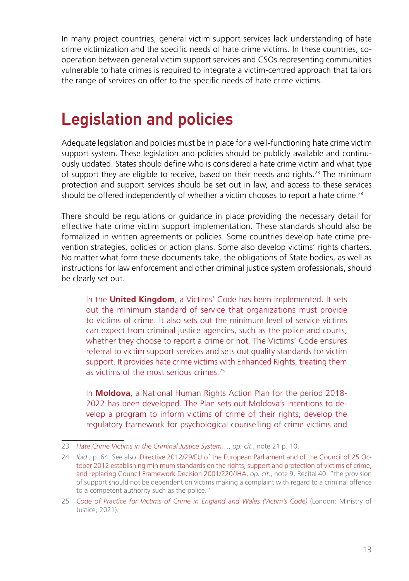<span id="page-12-0"></span>In many project countries, general victim support services lack understanding of hate crime victimization and the specific needs of hate crime victims. In these countries, cooperation between general victim support services and CSOs representing communities vulnerable to hate crimes is required to integrate a victim-centred approach that tailors the range of services on offer to the specific needs of hate crime victims.

#### Legislation and policies

Adequate legislation and policies must be in place for a well-functioning hate crime victim support system. These legislation and policies should be publicly available and continuously updated. States should define who is considered a hate crime victim and what type of support they are eligible to receive, based on their needs and rights.<sup>23</sup> The minimum protection and support services should be set out in law, and access to these services should be offered independently of whether a victim chooses to report a hate crime.<sup>24</sup>

There should be regulations or guidance in place providing the necessary detail for effective hate crime victim support implementation. These standards should also be formalized in written agreements or policies. Some countries develop hate crime prevention strategies, policies or action plans. Some also develop victims' rights charters. No matter what form these documents take, the obligations of State bodies, as well as instructions for law enforcement and other criminal justice system professionals, should be clearly set out.

In the **United Kingdom**, a Victims' Code has been implemented. It sets out the minimum standard of service that organizations must provide to victims of crime. It also sets out the minimum level of service victims can expect from criminal justice agencies, such as the police and courts, whether they choose to report a crime or not. The Victims' Code ensures referral to victim support services and sets out quality standards for victim support. It provides hate crime victims with Enhanced Rights, treating them as victims of the most serious crimes<sup>25</sup>

In **Moldova**, a National Human Rights Action Plan for the period 2018- 2022 has been developed. The Plan sets out Moldova's intentions to develop a program to inform victims of crime of their rights, develop the regulatory framework for psychological counselling of crime victims and

<sup>23</sup> *[Hate Crime Victims in the Criminal Justice System](https://www.osce.org/odihr/447028)*…, *op. cit*., note 21 p. 10.

<sup>24</sup> *Ibid*., p. 64. See also: [Directive 2012/29/EU of the European Parliament and of the Council of 25 Oc](https://eur-lex.europa.eu/legal-content/EN/TXT/HTML/?uri=CELEX:32012L0029&from=EN)[tober 2012 establishing minimum standards on the rights, support and protection of victims of crime,](https://eur-lex.europa.eu/legal-content/EN/TXT/HTML/?uri=CELEX:32012L0029&from=EN) [and replacing Council Framework Decision 2001/220/JHA,](https://eur-lex.europa.eu/legal-content/EN/TXT/HTML/?uri=CELEX:32012L0029&from=EN) *op. cit*., note 9, Recital 40: "the provision of support should not be dependent on victims making a complaint with regard to a criminal offence to a competent authority such as the police."

<sup>25</sup> *[Code of Practice for Victims of Crime in England and Wales \(Victim's Code\)](https://www.gov.uk/government/publications/the-code-of-practice-for-victims-of-crime/code-of-practice-for-victims-of-crime-in-england-and-wales-victims-code)* (London: Ministry of Justice, 2021).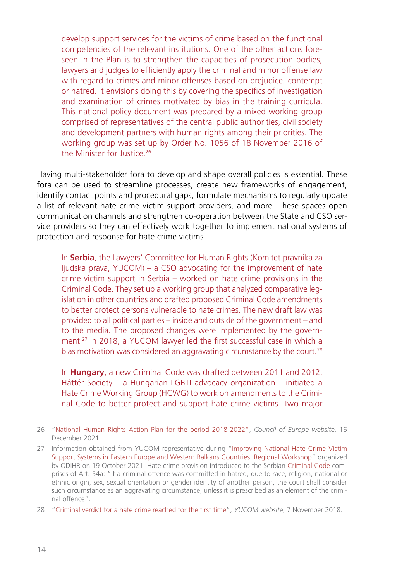develop support services for the victims of crime based on the functional competencies of the relevant institutions. One of the other actions foreseen in the Plan is to strengthen the capacities of prosecution bodies, lawyers and judges to efficiently apply the criminal and minor offense law with regard to crimes and minor offenses based on prejudice, contempt or hatred. It envisions doing this by covering the specifics of investigation and examination of crimes motivated by bias in the training curricula. This national policy document was prepared by a mixed working group comprised of representatives of the central public authorities, civil society and development partners with human rights among their priorities. The working group was set up by Order No. 1056 of 18 November 2016 of the Minister for Justice<sup>26</sup>

Having multi-stakeholder fora to develop and shape overall policies is essential. These fora can be used to streamline processes, create new frameworks of engagement, identify contact points and procedural gaps, formulate mechanisms to regularly update a list of relevant hate crime victim support providers, and more. These spaces open communication channels and strengthen co-operation between the State and CSO service providers so they can effectively work together to implement national systems of protection and response for hate crime victims.

In **Serbia**, the Lawyers' Committee for Human Rights (Komitet pravnika za ljudska prava, YUCOM) – a CSO advocating for the improvement of hate crime victim support in Serbia – worked on hate crime provisions in the Criminal Code. They set up a working group that analyzed comparative legislation in other countries and drafted proposed Criminal Code amendments to better protect persons vulnerable to hate crimes. The new draft law was provided to all political parties – inside and outside of the government – and to the media. The proposed changes were implemented by the government.27 In 2018, a YUCOM lawyer led the first successful case in which a bias motivation was considered an aggravating circumstance by the court.<sup>28</sup>

In **Hungary**, a new Criminal Code was drafted between 2011 and 2012. Háttér Society – a Hungarian LGBTI advocacy organization – initiated a Hate Crime Working Group (HCWG) to work on amendments to the Criminal Code to better protect and support hate crime victims. Two major

<sup>26</sup> "[National Human Rights Action Plan for the period 2018-2022](https://www.coe.int/t/commissioner/source/NAP/Moldova-National-Action-Plan-on-Human-Rights-2018-2022.pdf)", *Council of Europe website*, 16 December 2021.

<sup>27</sup> Information obtained from YUCOM representative during "[Improving National Hate Crime Victim](https://www.osce.org/odihr/499597)  [Support Systems in Eastern Europe and Western Balkans Countries: Regional Workshop](https://www.osce.org/odihr/499597)" organized by ODIHR on 19 October 2021. Hate crime provision introduced to the Serbian [Criminal Code](https://www.mpravde.gov.rs/files/Criminal%20%20%20Code_2019.pdf) comprises of Art. 54a: "If a criminal offence was committed in hatred, due to race, religion, national or ethnic origin, sex, sexual orientation or gender identity of another person, the court shall consider such circumstance as an aggravating circumstance, unless it is prescribed as an element of the criminal offence".

<sup>28</sup> "[Criminal verdict for a hate crime reached for the first time"](https://en.yucom.org.rs/criminal-verdict-for-a-hate-crime-reached-for-the-first-time/), *YUCOM website*, 7 November 2018.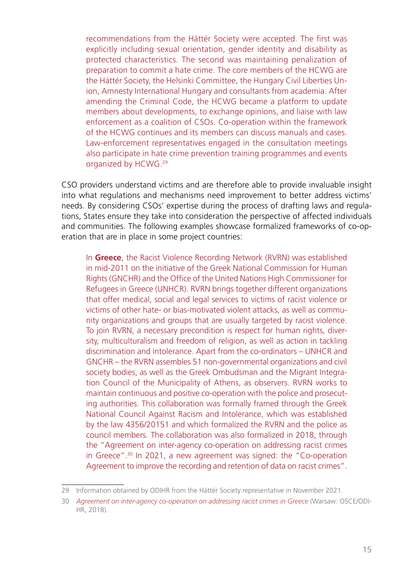recommendations from the Háttér Society were accepted. The first was explicitly including sexual orientation, gender identity and disability as protected characteristics. The second was maintaining penalization of preparation to commit a hate crime. The core members of the HCWG are the Háttér Society, the Helsinki Committee, the Hungary Civil Liberties Union, Amnesty International Hungary and consultants from academia. After amending the Criminal Code, the HCWG became a platform to update members about developments, to exchange opinions, and liaise with law enforcement as a coalition of CSOs. Co-operation within the framework of the HCWG continues and its members can discuss manuals and cases. Law-enforcement representatives engaged in the consultation meetings also participate in hate crime prevention training programmes and events organized by HCWG.29

CSO providers understand victims and are therefore able to provide invaluable insight into what regulations and mechanisms need improvement to better address victims' needs. By considering CSOs' expertise during the process of drafting laws and regulations, States ensure they take into consideration the perspective of affected individuals and communities. The following examples showcase formalized frameworks of co-operation that are in place in some project countries:

In **Greece**, the Racist Violence Recording Network (RVRN) was established in mid-2011 on the initiative of the Greek National Commission for Human Rights (GNCHR) and the Office of the United Nations High Commissioner for Refugees in Greece (UNHCR). RVRN brings together different organizations that offer medical, social and legal services to victims of racist violence or victims of other hate- or bias-motivated violent attacks, as well as community organizations and groups that are usually targeted by racist violence. To join RVRN, a necessary precondition is respect for human rights, diversity, multiculturalism and freedom of religion, as well as action in tackling discrimination and intolerance. Apart from the co-ordinators – UNHCR and GNCHR – the RVRN assembles 51 non-governmental organizations and civil society bodies, as well as the Greek Ombudsman and the Migrant Integration Council of the Municipality of Athens, as observers. RVRN works to maintain continuous and positive co-operation with the police and prosecuting authorities. This collaboration was formally framed through the Greek National Council Against Racism and Intolerance, which was established by the law 4356/20151 and which formalized the RVRN and the police as council members. The collaboration was also formalized in 2018, through the "Agreement on inter-agency co-operation on addressing racist crimes in Greece".30 In 2021, a new agreement was signed: the "Co-operation Agreement to improve the recording and retention of data on racist crimes".

<sup>29</sup> Information obtained by ODIHR from the Háttér Society representative in November 2021.

<sup>30</sup> *[Agreement on inter-agency co-operation on addressing racist crimes in Greece](https://www.osce.org/files/f/documents/6/d/402260.pdf)* (Warsaw: OSCE/ODI-HR, 2018).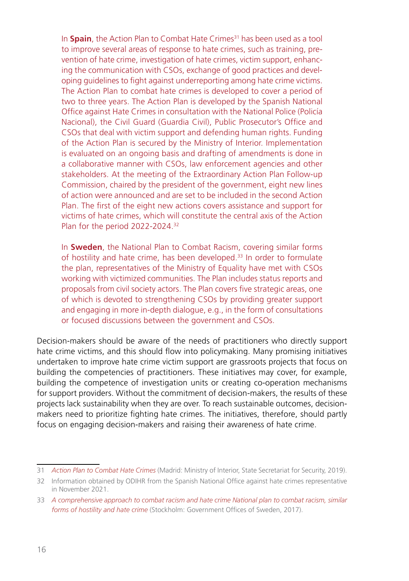In **Spain**, the Action Plan to Combat Hate Crimes<sup>31</sup> has been used as a tool to improve several areas of response to hate crimes, such as training, prevention of hate crime, investigation of hate crimes, victim support, enhancing the communication with CSOs, exchange of good practices and developing guidelines to fight against underreporting among hate crime victims. The Action Plan to combat hate crimes is developed to cover a period of two to three years. The Action Plan is developed by the Spanish National Office against Hate Crimes in consultation with the National Police (Policía Nacional), the Civil Guard (Guardia Civil), Public Prosecutor's Office and CSOs that deal with victim support and defending human rights. Funding of the Action Plan is secured by the Ministry of Interior. Implementation is evaluated on an ongoing basis and drafting of amendments is done in a collaborative manner with CSOs, law enforcement agencies and other stakeholders. At the meeting of the Extraordinary Action Plan Follow-up Commission, chaired by the president of the government, eight new lines of action were announced and are set to be included in the second Action Plan. The first of the eight new actions covers assistance and support for victims of hate crimes, which will constitute the central axis of the Action Plan for the period 2022-2024.<sup>32</sup>

In **Sweden**, the National Plan to Combat Racism, covering similar forms of hostility and hate crime, has been developed.<sup>33</sup> In order to formulate the plan, representatives of the Ministry of Equality have met with CSOs working with victimized communities. The Plan includes status reports and proposals from civil society actors. The Plan covers five strategic areas, one of which is devoted to strengthening CSOs by providing greater support and engaging in more in-depth dialogue, e.g., in the form of consultations or focused discussions between the government and CSOs.

Decision-makers should be aware of the needs of practitioners who directly support hate crime victims, and this should flow into policymaking. Many promising initiatives undertaken to improve hate crime victim support are grassroots projects that focus on building the competencies of practitioners. These initiatives may cover, for example, building the competence of investigation units or creating co-operation mechanisms for support providers. Without the commitment of decision-makers, the results of these projects lack sustainability when they are over. To reach sustainable outcomes, decisionmakers need to prioritize fighting hate crimes. The initiatives, therefore, should partly focus on engaging decision-makers and raising their awareness of hate crime.

<sup>31</sup> *[Action Plan to Combat Hate Crimes](http://www.interior.gob.es/documents/642012/0/PLAN+DE+ACCION+DE+LUCHA+CONTRA+LOS+DELITOS+DE+ODIO+%28english+version%29/c1576943-2f27-482e-9086-6cbf2352dab3)* (Madrid: Ministry of Interior, State Secretariat for Security, 2019).

<sup>32</sup> Information obtained by ODIHR from the Spanish National Office against hate crimes representative in November 2021.

<sup>33</sup> *[A comprehensive approach to combat racism and hate crime National plan to combat racism, similar](https://www.government.se/492382/contentassets/e6047ff54c00452895005f07e2e2ba39/a-comprehensive-approach-to-combat-racism-and-hate-crime)  [forms of hostility and hate crime](https://www.government.se/492382/contentassets/e6047ff54c00452895005f07e2e2ba39/a-comprehensive-approach-to-combat-racism-and-hate-crime)* (Stockholm: Government Offices of Sweden, 2017).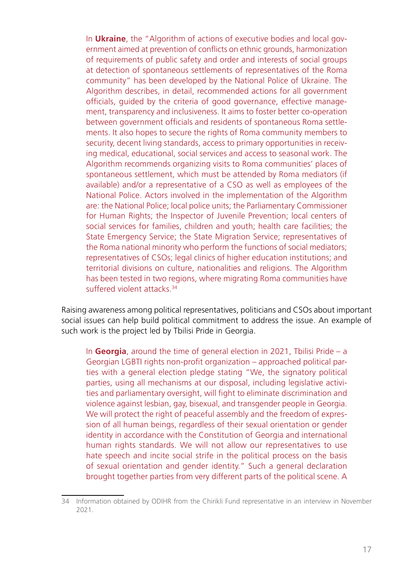In **Ukraine**, the "Algorithm of actions of executive bodies and local government aimed at prevention of conflicts on ethnic grounds, harmonization of requirements of public safety and order and interests of social groups at detection of spontaneous settlements of representatives of the Roma community" has been developed by the National Police of Ukraine. The Algorithm describes, in detail, recommended actions for all government officials, guided by the criteria of good governance, effective management, transparency and inclusiveness. It aims to foster better co-operation between government officials and residents of spontaneous Roma settlements. It also hopes to secure the rights of Roma community members to security, decent living standards, access to primary opportunities in receiving medical, educational, social services and access to seasonal work. The Algorithm recommends organizing visits to Roma communities' places of spontaneous settlement, which must be attended by Roma mediators (if available) and/or a representative of a CSO as well as employees of the National Police. Actors involved in the implementation of the Algorithm are: the National Police; local police units; the Parliamentary Commissioner for Human Rights; the Inspector of Juvenile Prevention; local centers of social services for families, children and youth; health care facilities; the State Emergency Service; the State Migration Service; representatives of the Roma national minority who perform the functions of social mediators; representatives of CSOs; legal clinics of higher education institutions; and territorial divisions on culture, nationalities and religions. The Algorithm has been tested in two regions, where migrating Roma communities have suffered violent attacks<sup>34</sup>

Raising awareness among political representatives, politicians and CSOs about important social issues can help build political commitment to address the issue. An example of such work is the project led by Tbilisi Pride in Georgia.

In **Georgia**, around the time of general election in 2021, Tbilisi Pride – a Georgian LGBTI rights non-profit organization – approached political parties with a general election pledge stating "We, the signatory political parties, using all mechanisms at our disposal, including legislative activities and parliamentary oversight, will fight to eliminate discrimination and violence against lesbian, gay, bisexual, and transgender people in Georgia. We will protect the right of peaceful assembly and the freedom of expression of all human beings, regardless of their sexual orientation or gender identity in accordance with the Constitution of Georgia and international human rights standards. We will not allow our representatives to use hate speech and incite social strife in the political process on the basis of sexual orientation and gender identity." Such a general declaration brought together parties from very different parts of the political scene. A

<sup>34</sup> Information obtained by ODIHR from the Chirikli Fund representative in an interview in November 2021.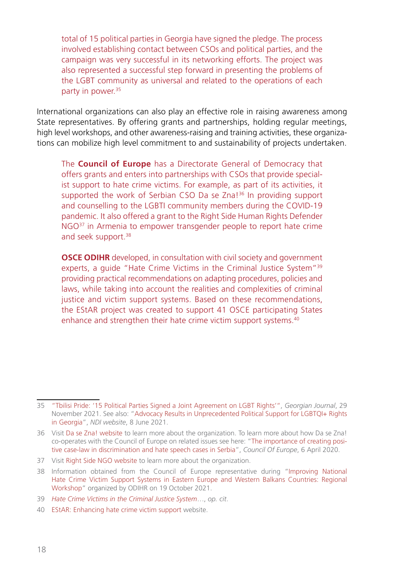total of 15 political parties in Georgia have signed the pledge. The process involved establishing contact between CSOs and political parties, and the campaign was very successful in its networking efforts. The project was also represented a successful step forward in presenting the problems of the LGBT community as universal and related to the operations of each party in power.<sup>35</sup>

International organizations can also play an effective role in raising awareness among State representatives. By offering grants and partnerships, holding regular meetings, high level workshops, and other awareness-raising and training activities, these organizations can mobilize high level commitment to and sustainability of projects undertaken.

The **Council of Europe** has a Directorate General of Democracy that offers grants and enters into partnerships with CSOs that provide specialist support to hate crime victims. For example, as part of its activities, it supported the work of Serbian CSO Da se Zna!<sup>36</sup> In providing support and counselling to the LGBTI community members during the COVID-19 pandemic. It also offered a grant to the Right Side Human Rights Defender NGO<sup>37</sup> in Armenia to empower transgender people to report hate crime and seek support.<sup>38</sup>

**OSCE ODIHR** developed, in consultation with civil society and government experts, a guide "Hate Crime Victims in the Criminal Justice System"<sup>39</sup> providing practical recommendations on adapting procedures, policies and laws, while taking into account the realities and complexities of criminal justice and victim support systems. Based on these recommendations, the EStAR project was created to support 41 OSCE participating States enhance and strengthen their hate crime victim support systems.<sup>40</sup>

<sup>35</sup> ["Tbilisi Pride: '15 Political Parties Signed a Joint Agreement on LGBT Rights'"](https://georgianjournal.ge/society/37075-tbilisi-pride-15-political-parties-signed-a-joint-agreement-on-lgbt-rights.html), *Georgian Journal*, 29 November 2021. See also: "[Advocacy Results in Unprecedented Political Support for LGBTQI+ Rights](https://www.ndi.org/our-stories/advocacy-results-unprecedented-political-support-lgbtqi-rights-georgia?fbclid=IwAR1rshSQVXs7SzgwOIJXu8dWp7ehiO-2mjnsXmcqsqBi2IyEdybPaldBekk)  [in Georgia](https://www.ndi.org/our-stories/advocacy-results-unprecedented-political-support-lgbtqi-rights-georgia?fbclid=IwAR1rshSQVXs7SzgwOIJXu8dWp7ehiO-2mjnsXmcqsqBi2IyEdybPaldBekk)", *NDI website*, 8 June 2021.

<sup>36</sup> Visit [Da se Zna! website](https://dasezna.lgbt/en/home-english/) to learn more about the organization. To learn more about how Da se Zna! co-operates with the Council of Europe on related issues see here: ["The importance of creating posi](https://www.coe.int/en/web/belgrade/-/the-importance-of-creating-positive-case-law-in-discrimination-and-hate-speech-cases-in-serbia)[tive case-law in discrimination and hate speech cases in Serbia](https://www.coe.int/en/web/belgrade/-/the-importance-of-creating-positive-case-law-in-discrimination-and-hate-speech-cases-in-serbia)", *Council Of Europe*, 6 April 2020.

<sup>37</sup> Visit [Right Side NGO website](http://rightsidengo.com/) to learn more about the organization.

<sup>38</sup> Information obtained from the Council of Europe representative during "[Improving National](https://www.osce.org/odihr/499597)  [Hate Crime Victim Support Systems in Eastern Europe and Western Balkans Countries: Regional](https://www.osce.org/odihr/499597)  [Workshop"](https://www.osce.org/odihr/499597) organized by ODIHR on 19 October 2021.

<sup>39</sup> *[Hate Crime Victims in the Criminal Justice System](https://www.osce.org/odihr/447028)*…, *op. cit*.

<sup>40</sup> [EStAR: Enhancing hate crime victim support](https://www.osce.org/odihr/hate-crime-victim-support) website.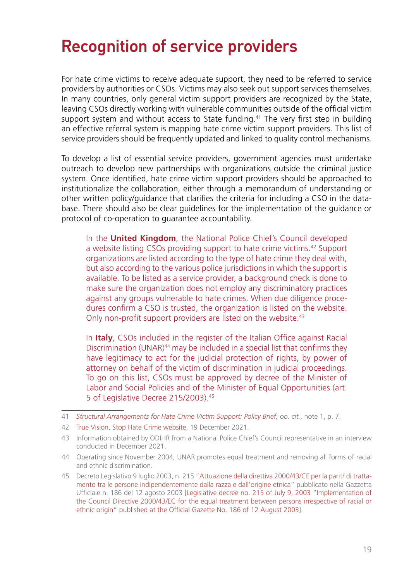#### <span id="page-18-0"></span>Recognition of service providers

For hate crime victims to receive adequate support, they need to be referred to service providers by authorities or CSOs. Victims may also seek out support services themselves. In many countries, only general victim support providers are recognized by the State, leaving CSOs directly working with vulnerable communities outside of the official victim support system and without access to State funding.<sup>41</sup> The very first step in building an effective referral system is mapping hate crime victim support providers. This list of service providers should be frequently updated and linked to quality control mechanisms.

To develop a list of essential service providers, government agencies must undertake outreach to develop new partnerships with organizations outside the criminal justice system. Once identified, hate crime victim support providers should be approached to institutionalize the collaboration, either through a memorandum of understanding or other written policy/guidance that clarifies the criteria for including a CSO in the database. There should also be clear guidelines for the implementation of the guidance or protocol of co-operation to guarantee accountability.

In the **United Kingdom**, the National Police Chief's Council developed a website listing CSOs providing support to hate crime victims.<sup>42</sup> Support organizations are listed according to the type of hate crime they deal with, but also according to the various police jurisdictions in which the support is available. To be listed as a service provider, a background check is done to make sure the organization does not employ any discriminatory practices against any groups vulnerable to hate crimes. When due diligence procedures confirm a CSO is trusted, the organization is listed on the website. Only non-profit support providers are listed on the website.<sup>43</sup>

In **Italy**, CSOs included in the register of the Italian Office against Racial Discrimination (UNAR)<sup>44</sup> may be included in a special list that confirms they have legitimacy to act for the judicial protection of rights, by power of attorney on behalf of the victim of discrimination in judicial proceedings. To go on this list, CSOs must be approved by decree of the Minister of Labor and Social Policies and of the Minister of Equal Opportunities (art. 5 of Legislative Decree 215/2003).45

<sup>41</sup> *[Structural Arrangements for Hate Crime Victim Support: Policy Brief,](https://www.osce.org/files/f/documents/6/4/510857.pdf) op. cit.*, note 1, p. 7.

<sup>42</sup> [True Vision, Stop Hate Crime website](https://www.report-it.org.uk/organisations_that_can_help), 19 December 2021.

<sup>43</sup> Information obtained by ODIHR from a National Police Chief's Council representative in an interview conducted in December 2021.

<sup>44</sup> Operating since November 2004, UNAR promotes equal treatment and removing all forms of racial and ethnic discrimination.

<sup>45</sup> Decreto Legislativo 9 luglio 2003, n. 215 "Attuazione della direttiva 2000/43/CE per la parití di trattamento tra le persone indipendentemente dalla razza e dall'origine etnica" pubblicato nella Gazzetta Ufficiale n. 186 del 12 agosto 2003 [[Legislative decree no. 215 of July 9, 2003 "Implementation of](https://tandis.odihr.pl/handle/20.500.12389/20124) [the Council Directive 2000/43/EC for the equal treatment between persons irrespective of racial or](https://tandis.odihr.pl/handle/20.500.12389/20124) [ethnic origin" published at the Official Gazette No. 186 of 12 August 2003](https://tandis.odihr.pl/handle/20.500.12389/20124)].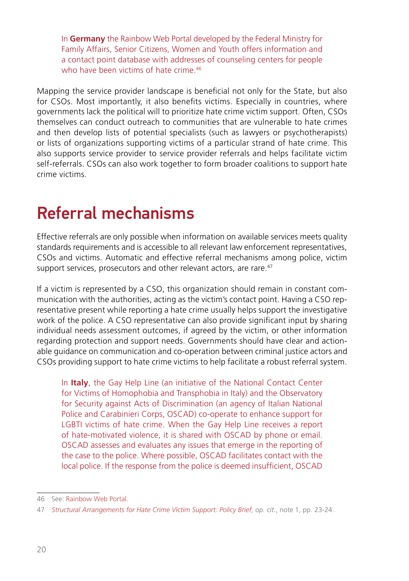<span id="page-19-0"></span>In **Germany** the Rainbow Web Portal developed by the Federal Ministry for Family Affairs, Senior Citizens, Women and Youth offers information and a contact point database with addresses of counseling centers for people who have been victims of hate crime.<sup>46</sup>

Mapping the service provider landscape is beneficial not only for the State, but also for CSOs. Most importantly, it also benefits victims. Especially in countries, where governments lack the political will to prioritize hate crime victim support. Often, CSOs themselves can conduct outreach to communities that are vulnerable to hate crimes and then develop lists of potential specialists (such as lawyers or psychotherapists) or lists of organizations supporting victims of a particular strand of hate crime. This also supports service provider to service provider referrals and helps facilitate victim self-referrals. CSOs can also work together to form broader coalitions to support hate crime victims.

#### Referral mechanisms

Effective referrals are only possible when information on available services meets quality standards requirements and is accessible to all relevant law enforcement representatives, CSOs and victims. Automatic and effective referral mechanisms among police, victim support services, prosecutors and other relevant actors, are rare.<sup>47</sup>

If a victim is represented by a CSO, this organization should remain in constant communication with the authorities, acting as the victim's contact point. Having a CSO representative present while reporting a hate crime usually helps support the investigative work of the police. A CSO representative can also provide significant input by sharing individual needs assessment outcomes, if agreed by the victim, or other information regarding protection and support needs. Governments should have clear and actionable guidance on communication and co-operation between criminal justice actors and CSOs providing support to hate crime victims to help facilitate a robust referral system.

In **Italy**, the Gay Help Line (an initiative of the National Contact Center for Victims of Homophobia and Transphobia in Italy) and the Observatory for Security against Acts of Discrimination (an agency of Italian National Police and Carabinieri Corps, OSCAD) co-operate to enhance support for LGBTI victims of hate crime. When the Gay Help Line receives a report of hate-motivated violence, it is shared with OSCAD by phone or email. OSCAD assesses and evaluates any issues that emerge in the reporting of the case to the police. Where possible, OSCAD facilitates contact with the local police. If the response from the police is deemed insufficient, OSCAD

<sup>46</sup> See: [Rainbow Web Portal.](https://www.regenbogenportal.de/english/welcome-to-the-rainbow-web-portal)

<sup>47</sup> *[Structural Arrangements for Hate Crime Victim Support: Policy Brief,](https://www.osce.org/files/f/documents/6/4/510857.pdf) op. cit.*, note 1, pp. 23-24.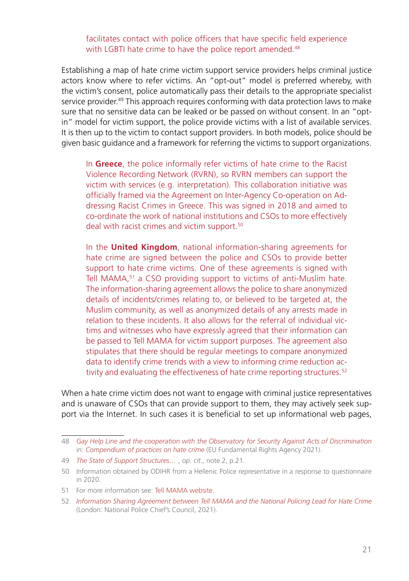#### facilitates contact with police officers that have specific field experience with LGBTI hate crime to have the police report amended.<sup>48</sup>

Establishing a map of hate crime victim support service providers helps criminal justice actors know where to refer victims. An "opt-out" model is preferred whereby, with the victim's consent, police automatically pass their details to the appropriate specialist service provider.<sup>49</sup> This approach requires conforming with data protection laws to make sure that no sensitive data can be leaked or be passed on without consent. In an "optin" model for victim support, the police provide victims with a list of available services. It is then up to the victim to contact support providers. In both models, police should be given basic guidance and a framework for referring the victims to support organizations.

In **Greece**, the police informally refer victims of hate crime to the Racist Violence Recording Network (RVRN), so RVRN members can support the victim with services (e.g. interpretation). This collaboration initiative was officially framed via the Agreement on Inter-Agency Co-operation on Addressing Racist Crimes in Greece. This was signed in 2018 and aimed to co-ordinate the work of national institutions and CSOs to more effectively deal with racist crimes and victim support.<sup>50</sup>

In the **United Kingdom**, national information-sharing agreements for hate crime are signed between the police and CSOs to provide better support to hate crime victims. One of these agreements is signed with Tell MAMA,<sup>51</sup> a CSO providing support to victims of anti-Muslim hate. The information-sharing agreement allows the police to share anonymized details of incidents/crimes relating to, or believed to be targeted at, the Muslim community, as well as anonymized details of any arrests made in relation to these incidents. It also allows for the referral of individual victims and witnesses who have expressly agreed that their information can be passed to Tell MAMA for victim support purposes. The agreement also stipulates that there should be regular meetings to compare anonymized data to identify crime trends with a view to informing crime reduction activity and evaluating the effectiveness of hate crime reporting structures.<sup>52</sup>

When a hate crime victim does not want to engage with criminal justice representatives and is unaware of CSOs that can provide support to them, they may actively seek support via the Internet. In such cases it is beneficial to set up informational web pages,

<sup>48</sup> *[Gay Help Line and the cooperation with the Observatory for Security Against Acts of Discrimination](https://fra.europa.eu/en/promising-practices/gay-help-line-and-cooperation-observatory-security-against-acts-discrimination)* in: *[Compendium of practices on hate crime](https://fra.europa.eu/en/theme/hate-crime/compendium-practices)* (EU Fundamental Rights Agency 2021).

<sup>49</sup> *[The State of Support Structures…](https://www.osce.org/odihr/467916)* , *op. cit*., note 2, p.21.

<sup>50</sup> Information obtained by ODIHR from a Hellenic Police representative in a response to questionnaire in 2020.

<sup>51</sup> For more information see: [Tell MAMA website.](https://tellmamauk.org/)

<sup>52</sup> *[Information Sharing Agreement between Tell MAMA and the National Policing Lead for Hate Crime](https://www.report-it.org.uk/files/npcc_isa_tellmama_april_2021_final.pdf)* (London: National Police Chief's Council, 2021).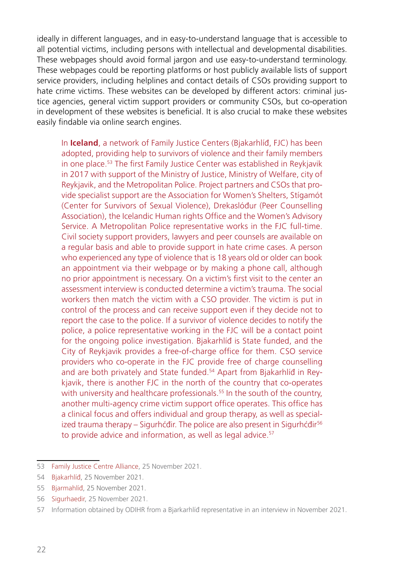ideally in different languages, and in easy-to-understand language that is accessible to all potential victims, including persons with intellectual and developmental disabilities. These webpages should avoid formal jargon and use easy-to-understand terminology. These webpages could be reporting platforms or host publicly available lists of support service providers, including helplines and contact details of CSOs providing support to hate crime victims. These websites can be developed by different actors: criminal justice agencies, general victim support providers or community CSOs, but co-operation in development of these websites is beneficial. It is also crucial to make these websites easily findable via online search engines.

In **Iceland**, a network of Family Justice Centers (Bjakarhlíð, FJC) has been adopted, providing help to survivors of violence and their family members in one place.<sup>53</sup> The first Family Justice Center was established in Reykjavik in 2017 with support of the Ministry of Justice, Ministry of Welfare, city of Reykjavik, and the Metropolitan Police. Project partners and CSOs that provide specialist support are the Association for Women's Shelters, Stígamót (Center for Survivors of Sexual Violence), Drekaslóður (Peer Counselling Association), the Icelandic Human rights Office and the Women's Advisory Service. A Metropolitan Police representative works in the FJC full-time. Civil society support providers, lawyers and peer counsels are available on a regular basis and able to provide support in hate crime cases. A person who experienced any type of violence that is 18 years old or older can book an appointment via their webpage or by making a phone call, although no prior appointment is necessary. On a victim's first visit to the center an assessment interview is conducted determine a victim's trauma. The social workers then match the victim with a CSO provider. The victim is put in control of the process and can receive support even if they decide not to report the case to the police. If a survivor of violence decides to notify the police, a police representative working in the FJC will be a contact point for the ongoing police investigation. Bjakarhlíð is State funded, and the City of Reykjavik provides a free-of-charge office for them. CSO service providers who co-operate in the FJC provide free of charge counselling and are both privately and State funded.<sup>54</sup> Apart from Bjakarhlíð in Reykjavik, there is another FJC in the north of the country that co-operates with university and healthcare professionals.<sup>55</sup> In the south of the country, another multi-agency crime victim support office operates. This office has a clinical focus and offers individual and group therapy, as well as specialized trauma therapy – Sigurhéðir. The police are also present in Sigurhéðir<sup>56</sup> to provide advice and information, as well as legal advice.<sup>57</sup>

<sup>53</sup> [Family Justice Centre Alliance](https://www.familyjusticecenter.org/), 25 November 2021.

<sup>54</sup> [Bjakarhlíð,](https://www.bjarkarhlid.is/) 25 November 2021.

<sup>55</sup> [Bjarmahlíð,](https://bjarmahlid.is/?lang=en) 25 November 2021.

<sup>56</sup> [Sigurhaedir](https://www.sigurhaedir.is/), 25 November 2021.

<sup>57</sup> Information obtained by ODIHR from a Bjarkarhlíð representative in an interview in November 2021.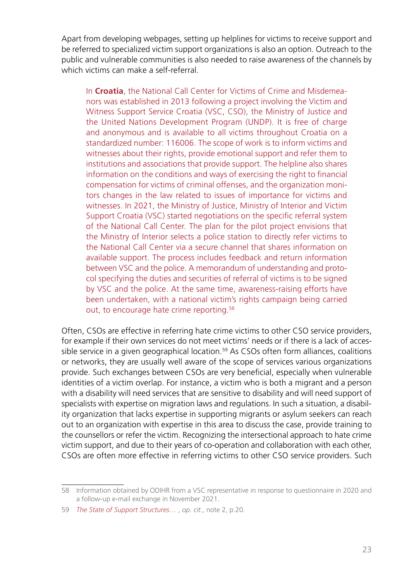Apart from developing webpages, setting up helplines for victims to receive support and be referred to specialized victim support organizations is also an option. Outreach to the public and vulnerable communities is also needed to raise awareness of the channels by which victims can make a self-referral.

In **Croatia**, the National Call Center for Victims of Crime and Misdemeanors was established in 2013 following a project involving the Victim and Witness Support Service Croatia (VSC, CSO), the Ministry of Justice and the United Nations Development Program (UNDP). It is free of charge and anonymous and is available to all victims throughout Croatia on a standardized number: 116006. The scope of work is to inform victims and witnesses about their rights, provide emotional support and refer them to institutions and associations that provide support. The helpline also shares information on the conditions and ways of exercising the right to financial compensation for victims of criminal offenses, and the organization monitors changes in the law related to issues of importance for victims and witnesses. In 2021, the Ministry of Justice, Ministry of Interior and Victim Support Croatia (VSC) started negotiations on the specific referral system of the National Call Center. The plan for the pilot project envisions that the Ministry of Interior selects a police station to directly refer victims to the National Call Center via a secure channel that shares information on available support. The process includes feedback and return information between VSC and the police. A memorandum of understanding and protocol specifying the duties and securities of referral of victims is to be signed by VSC and the police. At the same time, awareness-raising efforts have been undertaken, with a national victim's rights campaign being carried out, to encourage hate crime reporting.58

Often, CSOs are effective in referring hate crime victims to other CSO service providers, for example if their own services do not meet victims' needs or if there is a lack of accessible service in a given geographical location.<sup>59</sup> As CSOs often form alliances, coalitions or networks, they are usually well aware of the scope of services various organizations provide. Such exchanges between CSOs are very beneficial, especially when vulnerable identities of a victim overlap. For instance, a victim who is both a migrant and a person with a disability will need services that are sensitive to disability and will need support of specialists with expertise on migration laws and regulations. In such a situation, a disability organization that lacks expertise in supporting migrants or asylum seekers can reach out to an organization with expertise in this area to discuss the case, provide training to the counsellors or refer the victim. Recognizing the intersectional approach to hate crime victim support, and due to their years of co-operation and collaboration with each other, CSOs are often more effective in referring victims to other CSO service providers. Such

<sup>58</sup> Information obtained by ODIHR from a VSC representative in response to questionnaire in 2020 and a follow-up e-mail exchange in November 2021.

<sup>59</sup> *[The State of Support Structures…](https://www.osce.org/odihr/467916)* , *op. cit*., note 2, p.20.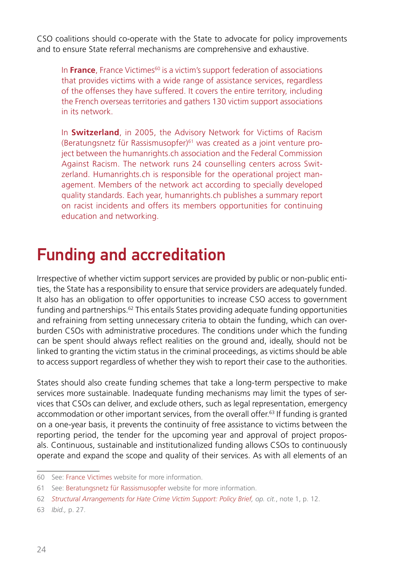<span id="page-23-0"></span>CSO coalitions should co-operate with the State to advocate for policy improvements and to ensure State referral mechanisms are comprehensive and exhaustive.

In **France**, France Victimes<sup>60</sup> is a victim's support federation of associations that provides victims with a wide range of assistance services, regardless of the offenses they have suffered. It covers the entire territory, including the French overseas territories and gathers 130 victim support associations in its network.

In **Switzerland**, in 2005, the Advisory Network for Victims of Racism (Beratungsnetz für Rassismusopfer)61 was created as a joint venture project between the humanrights.ch association and the Federal Commission Against Racism. The network runs 24 counselling centers across Switzerland. Humanrights.ch is responsible for the operational project management. Members of the network act according to specially developed quality standards. Each year, humanrights.ch publishes a summary report on racist incidents and offers its members opportunities for continuing education and networking.

#### Funding and accreditation

Irrespective of whether victim support services are provided by public or non-public entities, the State has a responsibility to ensure that service providers are adequately funded. It also has an obligation to offer opportunities to increase CSO access to government funding and partnerships.62 This entails States providing adequate funding opportunities and refraining from setting unnecessary criteria to obtain the funding, which can overburden CSOs with administrative procedures. The conditions under which the funding can be spent should always reflect realities on the ground and, ideally, should not be linked to granting the victim status in the criminal proceedings, as victims should be able to access support regardless of whether they wish to report their case to the authorities.

States should also create funding schemes that take a long-term perspective to make services more sustainable. Inadequate funding mechanisms may limit the types of services that CSOs can deliver, and exclude others, such as legal representation, emergency accommodation or other important services, from the overall offer.63 If funding is granted on a one-year basis, it prevents the continuity of free assistance to victims between the reporting period, the tender for the upcoming year and approval of project proposals. Continuous, sustainable and institutionalized funding allows CSOs to continuously operate and expand the scope and quality of their services. As with all elements of an

<sup>60</sup> See:[France Victimes](https://www.france-victimes.fr/) website for more information.

<sup>61</sup> See:[Beratungsnetz für Rassismusopfer](https://network-racism.ch/de/home.html) website for more information.

<sup>62</sup> *[Structural Arrangements for Hate Crime Victim Support: Policy Brief,](https://www.osce.org/files/f/documents/6/4/510857.pdf) op. cit.*, note 1, p. 12.

<sup>63</sup> *Ibid.,* p. 27.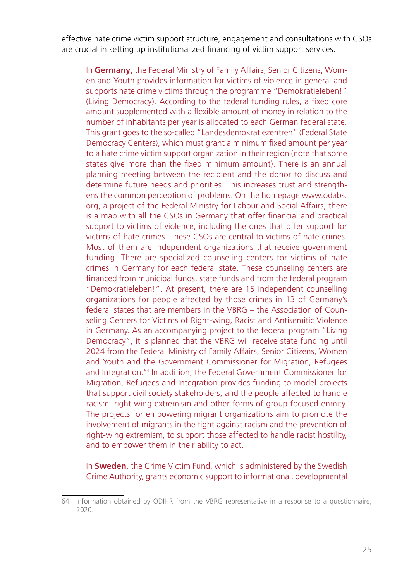effective hate crime victim support structure, engagement and consultations with CSOs are crucial in setting up institutionalized financing of victim support services.

In **Germany**, the Federal Ministry of Family Affairs, Senior Citizens, Women and Youth provides information for victims of violence in general and supports hate crime victims through the programme "Demokratieleben!" (Living Democracy). According to the federal funding rules, a fixed core amount supplemented with a flexible amount of money in relation to the number of inhabitants per year is allocated to each German federal state. This grant goes to the so-called "Landesdemokratiezentren" (Federal State Democracy Centers), which must grant a minimum fixed amount per year to a hate crime victim support organization in their region (note that some states give more than the fixed minimum amount). There is an annual planning meeting between the recipient and the donor to discuss and determine future needs and priorities. This increases trust and strengthens the common perception of problems. On the homepage www.odabs. org, a project of the Federal Ministry for Labour and Social Affairs, there is a map with all the CSOs in Germany that offer financial and practical support to victims of violence, including the ones that offer support for victims of hate crimes. These CSOs are central to victims of hate crimes. Most of them are independent organizations that receive government funding. There are specialized counseling centers for victims of hate crimes in Germany for each federal state. These counseling centers are financed from municipal funds, state funds and from the federal program "Demokratieleben!". At present, there are 15 independent counselling organizations for people affected by those crimes in 13 of Germany's federal states that are members in the VBRG – the Association of Counseling Centers for Victims of Right-wing, Racist and Antisemitic Violence in Germany. As an accompanying project to the federal program "Living Democracy", it is planned that the VBRG will receive state funding until 2024 from the Federal Ministry of Family Affairs, Senior Citizens, Women and Youth and the Government Commissioner for Migration, Refugees and Integration.<sup>64</sup> In addition, the Federal Government Commissioner for Migration, Refugees and Integration provides funding to model projects that support civil society stakeholders, and the people affected to handle racism, right-wing extremism and other forms of group-focused enmity. The projects for empowering migrant organizations aim to promote the involvement of migrants in the fight against racism and the prevention of right-wing extremism, to support those affected to handle racist hostility, and to empower them in their ability to act.

In **Sweden**, the Crime Victim Fund, which is administered by the Swedish Crime Authority, grants economic support to informational, developmental

<sup>64</sup> Information obtained by ODIHR from the VBRG representative in a response to a questionnaire, 2020.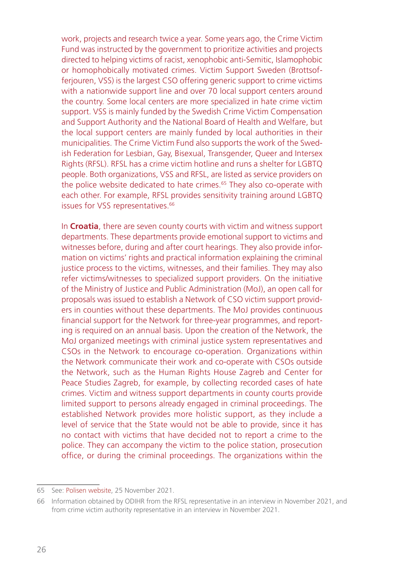work, projects and research twice a year. Some years ago, the Crime Victim Fund was instructed by the government to prioritize activities and projects directed to helping victims of racist, xenophobic anti-Semitic, Islamophobic or homophobically motivated crimes. Victim Support Sweden (Brottsofferjouren, VSS) is the largest CSO offering generic support to crime victims with a nationwide support line and over 70 local support centers around the country. Some local centers are more specialized in hate crime victim support. VSS is mainly funded by the Swedish Crime Victim Compensation and Support Authority and the National Board of Health and Welfare, but the local support centers are mainly funded by local authorities in their municipalities. The Crime Victim Fund also supports the work of the Swedish Federation for Lesbian, Gay, Bisexual, Transgender, Queer and Intersex Rights (RFSL). RFSL has a crime victim hotline and runs a shelter for LGBTQ people. Both organizations, VSS and RFSL, are listed as service providers on the police website dedicated to hate crimes.<sup>65</sup> They also co-operate with each other. For example, RFSL provides sensitivity training around LGBTQ issues for VSS representatives.<sup>66</sup>

In **Croatia**, there are seven county courts with victim and witness support departments. These departments provide emotional support to victims and witnesses before, during and after court hearings. They also provide information on victims' rights and practical information explaining the criminal justice process to the victims, witnesses, and their families. They may also refer victims/witnesses to specialized support providers. On the initiative of the Ministry of Justice and Public Administration (MoJ), an open call for proposals was issued to establish a Network of CSO victim support providers in counties without these departments. The MoJ provides continuous financial support for the Network for three-year programmes, and reporting is required on an annual basis. Upon the creation of the Network, the MoJ organized meetings with criminal justice system representatives and CSOs in the Network to encourage co-operation. Organizations within the Network communicate their work and co-operate with CSOs outside the Network, such as the Human Rights House Zagreb and Center for Peace Studies Zagreb, for example, by collecting recorded cases of hate crimes. Victim and witness support departments in county courts provide limited support to persons already engaged in criminal proceedings. The established Network provides more holistic support, as they include a level of service that the State would not be able to provide, since it has no contact with victims that have decided not to report a crime to the police. They can accompany the victim to the police station, prosecution office, or during the criminal proceedings. The organizations within the

<sup>65</sup> See: [Polisen website,](https://polisen.se/utsatt-for-brott/olika-typer-av-brott/hatbrott/) 25 November 2021.

<sup>66</sup> Information obtained by ODIHR from the RFSL representative in an interview in November 2021, and from crime victim authority representative in an interview in November 2021.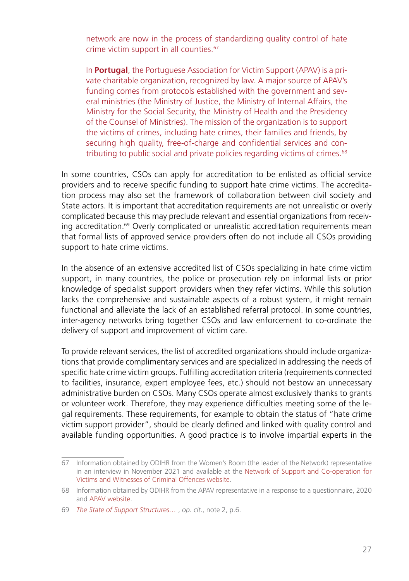network are now in the process of standardizing quality control of hate crime victim support in all counties.67

In **Portugal**, the Portuguese Association for Victim Support (APAV) is a private charitable organization, recognized by law. A major source of APAV's funding comes from protocols established with the government and several ministries (the Ministry of Justice, the Ministry of Internal Affairs, the Ministry for the Social Security, the Ministry of Health and the Presidency of the Counsel of Ministries). The mission of the organization is to support the victims of crimes, including hate crimes, their families and friends, by securing high quality, free-of-charge and confidential services and contributing to public social and private policies regarding victims of crimes.<sup>68</sup>

In some countries, CSOs can apply for accreditation to be enlisted as official service providers and to receive specific funding to support hate crime victims. The accreditation process may also set the framework of collaboration between civil society and State actors. It is important that accreditation requirements are not unrealistic or overly complicated because this may preclude relevant and essential organizations from receiving accreditation.<sup>69</sup> Overly complicated or unrealistic accreditation requirements mean that formal lists of approved service providers often do not include all CSOs providing support to hate crime victims.

In the absence of an extensive accredited list of CSOs specializing in hate crime victim support, in many countries, the police or prosecution rely on informal lists or prior knowledge of specialist support providers when they refer victims. While this solution lacks the comprehensive and sustainable aspects of a robust system, it might remain functional and alleviate the lack of an established referral protocol. In some countries, inter-agency networks bring together CSOs and law enforcement to co-ordinate the delivery of support and improvement of victim care.

To provide relevant services, the list of accredited organizations should include organizations that provide complimentary services and are specialized in addressing the needs of specific hate crime victim groups. Fulfilling accreditation criteria (requirements connected to facilities, insurance, expert employee fees, etc.) should not bestow an unnecessary administrative burden on CSOs. Many CSOs operate almost exclusively thanks to grants or volunteer work. Therefore, they may experience difficulties meeting some of the legal requirements. These requirements, for example to obtain the status of "hate crime victim support provider", should be clearly defined and linked with quality control and available funding opportunities. A good practice is to involve impartial experts in the

<sup>67</sup> Information obtained by ODIHR from the Women's Room (the leader of the Network) representative in an interview in November 2021 and available at the [Network of Support and Co-operation for](https://mrezapodrskeisuradnje.com/en/) [Victims and Witnesses of Criminal Offences website](https://mrezapodrskeisuradnje.com/en/).

<sup>68</sup> Information obtained by ODIHR from the APAV representative in a response to a questionnaire, 2020 and [APAV website](https://apav.pt/apav_v3/index.php/pt/apav-1/visao-missao).

<sup>69</sup> *[The State of Support Structures…](https://www.osce.org/odihr/467916)* , *op. cit*., note 2, p.6.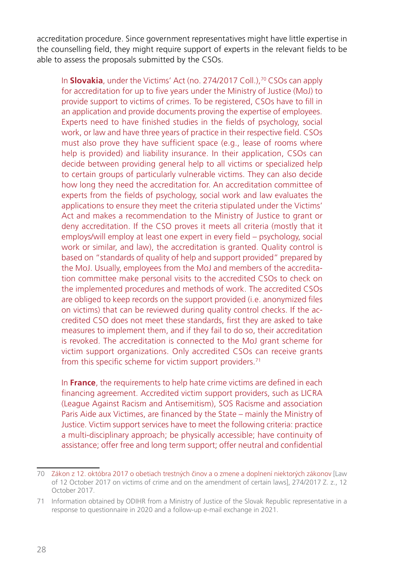accreditation procedure. Since government representatives might have little expertise in the counselling field, they might require support of experts in the relevant fields to be able to assess the proposals submitted by the CSOs.

In **Slovakia**, under the Victims' Act (no. 274/2017 Coll.),<sup>70</sup> CSOs can apply for accreditation for up to five years under the Ministry of Justice (MoJ) to provide support to victims of crimes. To be registered, CSOs have to fill in an application and provide documents proving the expertise of employees. Experts need to have finished studies in the fields of psychology, social work, or law and have three years of practice in their respective field. CSOs must also prove they have sufficient space (e.g., lease of rooms where help is provided) and liability insurance. In their application, CSOs can decide between providing general help to all victims or specialized help to certain groups of particularly vulnerable victims. They can also decide how long they need the accreditation for. An accreditation committee of experts from the fields of psychology, social work and law evaluates the applications to ensure they meet the criteria stipulated under the Victims' Act and makes a recommendation to the Ministry of Justice to grant or deny accreditation. If the CSO proves it meets all criteria (mostly that it employs/will employ at least one expert in every field – psychology, social work or similar, and law), the accreditation is granted. Quality control is based on "standards of quality of help and support provided" prepared by the MoJ. Usually, employees from the MoJ and members of the accreditation committee make personal visits to the accredited CSOs to check on the implemented procedures and methods of work. The accredited CSOs are obliged to keep records on the support provided (i.e. anonymized files on victims) that can be reviewed during quality control checks. If the accredited CSO does not meet these standards, first they are asked to take measures to implement them, and if they fail to do so, their accreditation is revoked. The accreditation is connected to the MoJ grant scheme for victim support organizations. Only accredited CSOs can receive grants from this specific scheme for victim support providers.<sup>71</sup>

In **France**, the requirements to help hate crime victims are defined in each financing agreement. Accredited victim support providers, such as LICRA (League Against Racism and Antisemitism), SOS Racisme and association Paris Aide aux Victimes, are financed by the State – mainly the Ministry of Justice. Victim support services have to meet the following criteria: practice a multi-disciplinary approach; be physically accessible; have continuity of assistance; offer free and long term support; offer neutral and confidential

<sup>70</sup> [Zákon z 12. októbra 2017 o obetiach trestných činov a o zmene a doplnení niektorých zákonov](https://www.slov-lex.sk/pravne-predpisy/SK/ZZ/2017/274/20210701) [Law of 12 October 2017 on victims of crime and on the amendment of certain laws], 274/2017 Z. z., 12 October 2017.

<sup>71</sup> Information obtained by ODIHR from a Ministry of Justice of the Slovak Republic representative in a response to questionnaire in 2020 and a follow-up e-mail exchange in 2021.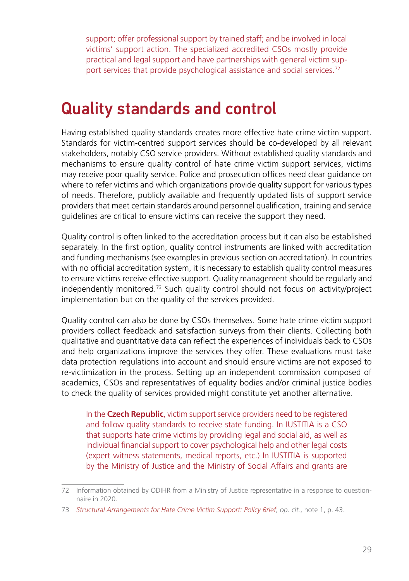<span id="page-28-0"></span>support; offer professional support by trained staff; and be involved in local victims' support action. The specialized accredited CSOs mostly provide practical and legal support and have partnerships with general victim support services that provide psychological assistance and social services.<sup>72</sup>

#### Quality standards and control

Having established quality standards creates more effective hate crime victim support. Standards for victim-centred support services should be co-developed by all relevant stakeholders, notably CSO service providers. Without established quality standards and mechanisms to ensure quality control of hate crime victim support services, victims may receive poor quality service. Police and prosecution offices need clear guidance on where to refer victims and which organizations provide quality support for various types of needs. Therefore, publicly available and frequently updated lists of support service providers that meet certain standards around personnel qualification, training and service guidelines are critical to ensure victims can receive the support they need.

Quality control is often linked to the accreditation process but it can also be established separately. In the first option, quality control instruments are linked with accreditation and funding mechanisms (see examples in previous section on accreditation). In countries with no official accreditation system, it is necessary to establish quality control measures to ensure victims receive effective support. Quality management should be regularly and independently monitored.73 Such quality control should not focus on activity/project implementation but on the quality of the services provided.

Quality control can also be done by CSOs themselves. Some hate crime victim support providers collect feedback and satisfaction surveys from their clients. Collecting both qualitative and quantitative data can reflect the experiences of individuals back to CSOs and help organizations improve the services they offer. These evaluations must take data protection regulations into account and should ensure victims are not exposed to re-victimization in the process. Setting up an independent commission composed of academics, CSOs and representatives of equality bodies and/or criminal justice bodies to check the quality of services provided might constitute yet another alternative.

In the **Czech Republic**, victim support service providers need to be registered and follow quality standards to receive state funding. In IUSTITIA is a CSO that supports hate crime victims by providing legal and social aid, as well as individual financial support to cover psychological help and other legal costs (expert witness statements, medical reports, etc.) In IUSTITIA is supported by the Ministry of Justice and the Ministry of Social Affairs and grants are

<sup>72</sup> Information obtained by ODIHR from a Ministry of Justice representative in a response to questionnaire in 2020.

<sup>73</sup> *[Structural Arrangements for Hate Crime Victim Support: Policy Brief,](https://www.osce.org/files/f/documents/6/4/510857.pdf) op. cit.*, note 1, p. 43.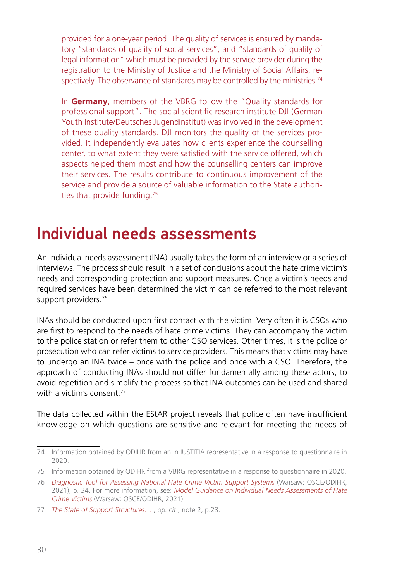<span id="page-29-0"></span>provided for a one-year period. The quality of services is ensured by mandatory "standards of quality of social services", and "standards of quality of legal information" which must be provided by the service provider during the registration to the Ministry of Justice and the Ministry of Social Affairs, respectively. The observance of standards may be controlled by the ministries.<sup>74</sup>

In **Germany**, members of the VBRG follow the "Quality standards for professional support". The social scientific research institute DJI (German Youth Institute/Deutsches Jugendinstitut) was involved in the development of these quality standards. DJI monitors the quality of the services provided. It independently evaluates how clients experience the counselling center, to what extent they were satisfied with the service offered, which aspects helped them most and how the counselling centers can improve their services. The results contribute to continuous improvement of the service and provide a source of valuable information to the State authorities that provide funding.75

#### Individual needs assessments

An individual needs assessment (INA) usually takes the form of an interview or a series of interviews. The process should result in a set of conclusions about the hate crime victim's needs and corresponding protection and support measures. Once a victim's needs and required services have been determined the victim can be referred to the most relevant support providers.<sup>76</sup>

INAs should be conducted upon first contact with the victim. Very often it is CSOs who are first to respond to the needs of hate crime victims. They can accompany the victim to the police station or refer them to other CSO services. Other times, it is the police or prosecution who can refer victims to service providers. This means that victims may have to undergo an INA twice – once with the police and once with a CSO. Therefore, the approach of conducting INAs should not differ fundamentally among these actors, to avoid repetition and simplify the process so that INA outcomes can be used and shared with a victim's consent.<sup>77</sup>

The data collected within the EStAR project reveals that police often have insufficient knowledge on which questions are sensitive and relevant for meeting the needs of

<sup>74</sup> Information obtained by ODIHR from an In IUSTITIA representative in a response to questionnaire in 2020.

<sup>75</sup> Information obtained by ODIHR from a VBRG representative in a response to questionnaire in 2020.

<sup>76</sup> *[Diagnostic Tool for Assessing National Hate Crime Victim Support Systems](https://www.osce.org/odihr/506386)* (Warsaw: OSCE/ODIHR, 2021), p. 34. For more information, see: *[Model Guidance on Individual Needs Assessments of Hate](https://www.osce.org/odihr/489782)  [Crime Victims](https://www.osce.org/odihr/489782)* (Warsaw: OSCE/ODIHR, 2021).

<sup>77</sup> *[The State of Support Structures…](https://www.osce.org/odihr/467916)* , *op. cit*., note 2, p.23.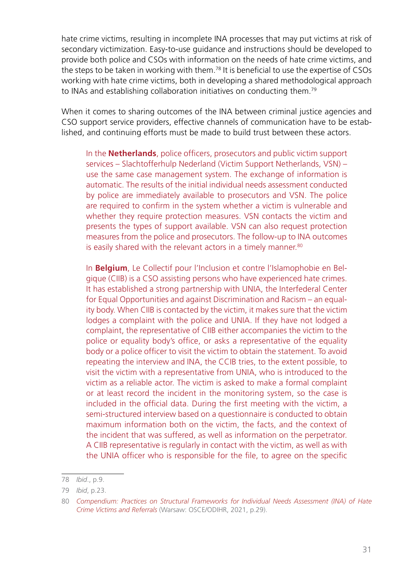hate crime victims, resulting in incomplete INA processes that may put victims at risk of secondary victimization. Easy-to-use guidance and instructions should be developed to provide both police and CSOs with information on the needs of hate crime victims, and the steps to be taken in working with them.78 It is beneficial to use the expertise of CSOs working with hate crime victims, both in developing a shared methodological approach to INAs and establishing collaboration initiatives on conducting them.79

When it comes to sharing outcomes of the INA between criminal justice agencies and CSO support service providers, effective channels of communication have to be established, and continuing efforts must be made to build trust between these actors.

In the **Netherlands**, police officers, prosecutors and public victim support services – Slachtofferhulp Nederland (Victim Support Netherlands, VSN) – use the same case management system. The exchange of information is automatic. The results of the initial individual needs assessment conducted by police are immediately available to prosecutors and VSN. The police are required to confirm in the system whether a victim is vulnerable and whether they require protection measures. VSN contacts the victim and presents the types of support available. VSN can also request protection measures from the police and prosecutors. The follow-up to INA outcomes is easily shared with the relevant actors in a timely manner.<sup>80</sup>

In **Belgium**, Le Collectif pour l'Inclusion et contre l'Islamophobie en Belgique (CIIB) is a CSO assisting persons who have experienced hate crimes. It has established a strong partnership with UNIA, the Interfederal Center for Equal Opportunities and against Discrimination and Racism – an equality body. When CIIB is contacted by the victim, it makes sure that the victim lodges a complaint with the police and UNIA. If they have not lodged a complaint, the representative of CIIB either accompanies the victim to the police or equality body's office, or asks a representative of the equality body or a police officer to visit the victim to obtain the statement. To avoid repeating the interview and INA, the CCIB tries, to the extent possible, to visit the victim with a representative from UNIA, who is introduced to the victim as a reliable actor. The victim is asked to make a formal complaint or at least record the incident in the monitoring system, so the case is included in the official data. During the first meeting with the victim, a semi-structured interview based on a questionnaire is conducted to obtain maximum information both on the victim, the facts, and the context of the incident that was suffered, as well as information on the perpetrator. A CIIB representative is regularly in contact with the victim, as well as with the UNIA officer who is responsible for the file, to agree on the specific

<sup>78</sup> *Ibid*., p.9.

<sup>79</sup> *Ibid*, p.23.

<sup>80</sup> *[Compendium: Practices on Structural Frameworks for Individual Needs Assessment \(INA\) of Hate](https://www.osce.org/files/f/documents/7/a/505981.pdf) [Crime Victims and Referrals](https://www.osce.org/files/f/documents/7/a/505981.pdf)* (Warsaw: OSCE/ODIHR, 2021, p.29).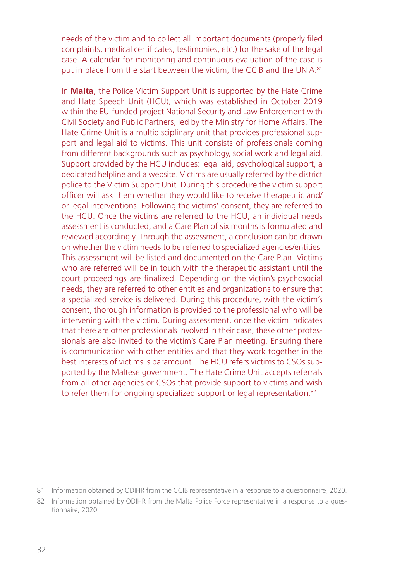needs of the victim and to collect all important documents (properly filed complaints, medical certificates, testimonies, etc.) for the sake of the legal case. A calendar for monitoring and continuous evaluation of the case is put in place from the start between the victim, the CCIB and the UNIA.<sup>81</sup>

In **Malta**, the Police Victim Support Unit is supported by the Hate Crime and Hate Speech Unit (HCU), which was established in October 2019 within the EU-funded project National Security and Law Enforcement with Civil Society and Public Partners, led by the Ministry for Home Affairs. The Hate Crime Unit is a multidisciplinary unit that provides professional support and legal aid to victims. This unit consists of professionals coming from different backgrounds such as psychology, social work and legal aid. Support provided by the HCU includes: legal aid, psychological support, a dedicated helpline and a website. Victims are usually referred by the district police to the Victim Support Unit. During this procedure the victim support officer will ask them whether they would like to receive therapeutic and/ or legal interventions. Following the victims' consent, they are referred to the HCU. Once the victims are referred to the HCU, an individual needs assessment is conducted, and a Care Plan of six months is formulated and reviewed accordingly. Through the assessment, a conclusion can be drawn on whether the victim needs to be referred to specialized agencies/entities. This assessment will be listed and documented on the Care Plan. Victims who are referred will be in touch with the therapeutic assistant until the court proceedings are finalized. Depending on the victim's psychosocial needs, they are referred to other entities and organizations to ensure that a specialized service is delivered. During this procedure, with the victim's consent, thorough information is provided to the professional who will be intervening with the victim. During assessment, once the victim indicates that there are other professionals involved in their case, these other professionals are also invited to the victim's Care Plan meeting. Ensuring there is communication with other entities and that they work together in the best interests of victims is paramount. The HCU refers victims to CSOs supported by the Maltese government. The Hate Crime Unit accepts referrals from all other agencies or CSOs that provide support to victims and wish to refer them for ongoing specialized support or legal representation.<sup>82</sup>

<sup>81</sup> Information obtained by ODIHR from the CCIB representative in a response to a questionnaire, 2020.

<sup>82</sup> Information obtained by ODIHR from the Malta Police Force representative in a response to a questionnaire, 2020.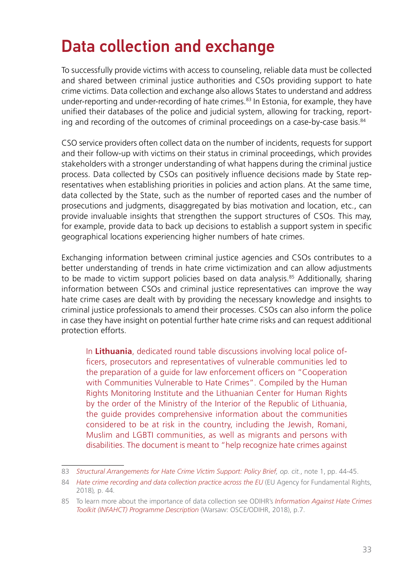### <span id="page-32-0"></span>Data collection and exchange

To successfully provide victims with access to counseling, reliable data must be collected and shared between criminal justice authorities and CSOs providing support to hate crime victims. Data collection and exchange also allows States to understand and address under-reporting and under-recording of hate crimes.<sup>83</sup> In Estonia, for example, they have unified their databases of the police and judicial system, allowing for tracking, reporting and recording of the outcomes of criminal proceedings on a case-by-case basis.<sup>84</sup>

CSO service providers often collect data on the number of incidents, requests for support and their follow-up with victims on their status in criminal proceedings, which provides stakeholders with a stronger understanding of what happens during the criminal justice process. Data collected by CSOs can positively influence decisions made by State representatives when establishing priorities in policies and action plans. At the same time, data collected by the State, such as the number of reported cases and the number of prosecutions and judgments, disaggregated by bias motivation and location, etc., can provide invaluable insights that strengthen the support structures of CSOs. This may, for example, provide data to back up decisions to establish a support system in specific geographical locations experiencing higher numbers of hate crimes.

Exchanging information between criminal justice agencies and CSOs contributes to a better understanding of trends in hate crime victimization and can allow adjustments to be made to victim support policies based on data analysis.<sup>85</sup> Additionally, sharing information between CSOs and criminal justice representatives can improve the way hate crime cases are dealt with by providing the necessary knowledge and insights to criminal justice professionals to amend their processes. CSOs can also inform the police in case they have insight on potential further hate crime risks and can request additional protection efforts.

In **Lithuania**, dedicated round table discussions involving local police officers, prosecutors and representatives of vulnerable communities led to the preparation of a guide for law enforcement officers on "Cooperation with Communities Vulnerable to Hate Crimes". Compiled by the Human Rights Monitoring Institute and the Lithuanian Center for Human Rights by the order of the Ministry of the Interior of the Republic of Lithuania, the guide provides comprehensive information about the communities considered to be at risk in the country, including the Jewish, Romani, Muslim and LGBTI communities, as well as migrants and persons with disabilities. The document is meant to "help recognize hate crimes against

<sup>83</sup> *[Structural Arrangements for Hate Crime Victim Support: Policy Brief,](https://www.osce.org/files/f/documents/6/4/510857.pdf) op. cit.*, note 1, pp. 44-45.

<sup>84</sup> *[Hate crime recording and data collection practice across the EU](https://fra.europa.eu/sites/default/files/fra_uploads/fra-2018-hate-crime-recording_en.pdf)* (EU Agency for Fundamental Rights, 2018)*,* p. 44*.*

<sup>85</sup> To learn more about the importance of data collection see ODIHR's *[Information Against Hate Crimes](https://www.osce.org/odihr/INFAHCT) [Toolkit \(INFAHCT\) Programme Description](https://www.osce.org/odihr/INFAHCT)* (Warsaw: OSCE/ODIHR, 2018), p.7.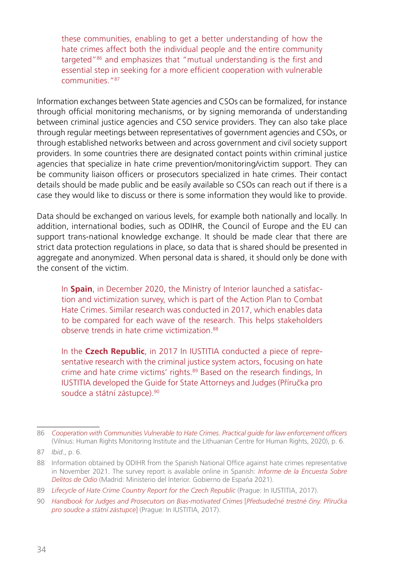these communities, enabling to get a better understanding of how the hate crimes affect both the individual people and the entire community targeted"86 and emphasizes that "mutual understanding is the first and essential step in seeking for a more efficient cooperation with vulnerable communities."87

Information exchanges between State agencies and CSOs can be formalized, for instance through official monitoring mechanisms, or by signing memoranda of understanding between criminal justice agencies and CSO service providers. They can also take place through regular meetings between representatives of government agencies and CSOs, or through established networks between and across government and civil society support providers. In some countries there are designated contact points within criminal justice agencies that specialize in hate crime prevention/monitoring/victim support. They can be community liaison officers or prosecutors specialized in hate crimes. Their contact details should be made public and be easily available so CSOs can reach out if there is a case they would like to discuss or there is some information they would like to provide.

Data should be exchanged on various levels, for example both nationally and locally. In addition, international bodies, such as ODIHR, the Council of Europe and the EU can support trans-national knowledge exchange. It should be made clear that there are strict data protection regulations in place, so data that is shared should be presented in aggregate and anonymized. When personal data is shared, it should only be done with the consent of the victim.

In **Spain**, in December 2020, the Ministry of Interior launched a satisfaction and victimization survey, which is part of the Action Plan to Combat Hate Crimes. Similar research was conducted in 2017, which enables data to be compared for each wave of the research. This helps stakeholders observe trends in hate crime victimization.<sup>88</sup>

In the **Czech Republic**, in 2017 In IUSTITIA conducted a piece of representative research with the criminal justice system actors, focusing on hate crime and hate crime victims' rights.<sup>89</sup> Based on the research findings, In IUSTITIA developed the Guide for State Attorneys and Judges (Příručka pro soudce a státní zástupce).<sup>90</sup>

<sup>86</sup> *[Cooperation with Communities Vulnerable to Hate Crimes. Practical guide for law enforcement officers](https://vrm.lrv.lt/uploads/vrm/documents/files/Practical%20Guide%20ENG.pdf)* (Vilnius: Human Rights Monitoring Institute and the Lithuanian Centre for Human Rights, 2020), p. 6.

<sup>87</sup> *Ibid*., p. 6.

<sup>88</sup> Information obtained by ODIHR from the Spanish National Office against hate crimes representative in November 2021. The survey report is available online in Spanish: *[Informe de la Encuesta Sobre](http://www.interior.gob.es/documents/642012/13622471/Informe+de+la+encuesta+sobre+delitos+de+odio_2021.pdf/0e6ffacb-195e-4b7b-924e-bf0b9c4589b5)  [Delitos de Odio](http://www.interior.gob.es/documents/642012/13622471/Informe+de+la+encuesta+sobre+delitos+de+odio_2021.pdf/0e6ffacb-195e-4b7b-924e-bf0b9c4589b5)* (Madrid: Ministerio del Interior. Gobierno de España 2021).

<sup>89</sup> [Lifecycle of Hate Crime Country Report for the Czech Republic](https://in-ius.cz/wp-content/uploads/2021/04/lchc-national-report-aj-web.pdf) (Praque: In IUSTITIA, 2017).

<sup>90</sup> *[Handbook for Judges and Prosecutors on Bias-motivated Crimes](https://in-ius.cz/wp-content/uploads/2021/04/hc-prirucka-pro-sz-a-soud-web.pdf)* [*Předsudečné trestné činy. Příručka [pro soudce a státní zástupce](https://in-ius.cz/wp-content/uploads/2021/04/hc-prirucka-pro-sz-a-soud-web.pdf)*] (Prague: In IUSTITIA, 2017).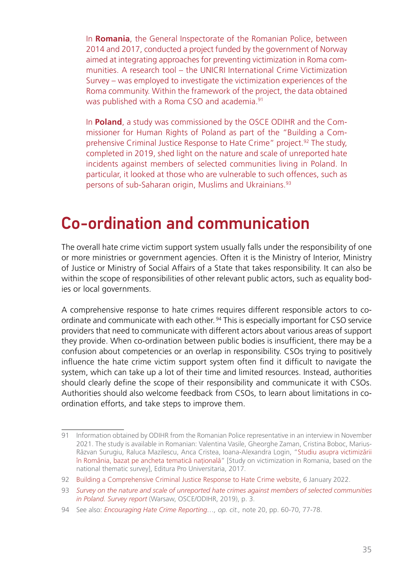<span id="page-34-0"></span>In **Romania**, the General Inspectorate of the Romanian Police, between 2014 and 2017, conducted a project funded by the government of Norway aimed at integrating approaches for preventing victimization in Roma communities. A research tool – the UNICRI International Crime Victimization Survey – was employed to investigate the victimization experiences of the Roma community. Within the framework of the project, the data obtained was published with a Roma CSO and academia.<sup>91</sup>

In **Poland**, a study was commissioned by the OSCE ODIHR and the Commissioner for Human Rights of Poland as part of the "Building a Comprehensive Criminal Justice Response to Hate Crime" project.92 The study, completed in 2019, shed light on the nature and scale of unreported hate incidents against members of selected communities living in Poland. In particular, it looked at those who are vulnerable to such offences, such as persons of sub-Saharan origin, Muslims and Ukrainians.93

#### Co-ordination and communication

The overall hate crime victim support system usually falls under the responsibility of one or more ministries or government agencies. Often it is the Ministry of Interior, Ministry of Justice or Ministry of Social Affairs of a State that takes responsibility. It can also be within the scope of responsibilities of other relevant public actors, such as equality bodies or local governments.

A comprehensive response to hate crimes requires different responsible actors to coordinate and communicate with each other. 94 This is especially important for CSO service providers that need to communicate with different actors about various areas of support they provide. When co-ordination between public bodies is insufficient, there may be a confusion about competencies or an overlap in responsibility. CSOs trying to positively influence the hate crime victim support system often find it difficult to navigate the system, which can take up a lot of their time and limited resources. Instead, authorities should clearly define the scope of their responsibility and communicate it with CSOs. Authorities should also welcome feedback from CSOs, to learn about limitations in coordination efforts, and take steps to improve them.

<sup>91</sup> Information obtained by ODIHR from the Romanian Police representative in an interview in November 2021. The study is available in Romanian: Valentina Vasile, Gheorghe Zaman, Cristina Boboc, Marius-Răzvan Surugiu, Raluca Mazilescu, Anca Cristea, Ioana-Alexandra Login, "Studiu asupra victimizării în România, bazat pe ancheta tematică naţională" [Study on victimization in Romania, based on the national thematic survey], Editura Pro Universitaria, 2017.

<sup>92</sup> [Building a Comprehensive Criminal Justice Response to Hate Crime website,](https://www.osce.org/projects/criminal-justice-response-hate-crime) 6 January 2022.

<sup>93</sup> *[Survey on the nature and scale of unreported hate crimes against members of selected communities](https://www.osce.org/files/f/documents/4/8/412445.pdf) [in Poland. Survey report](https://www.osce.org/files/f/documents/4/8/412445.pdf)* (Warsaw, OSCE/ODIHR, 2019), p. 3.

<sup>94</sup> See also: *[Encouraging Hate Crime Reporting…](https://fra.europa.eu/sites/default/files/fra_uploads/fra-2021-hate-crime-reporting_en.pdf), op. cit.,* note 20, pp. 60-70, 77-78.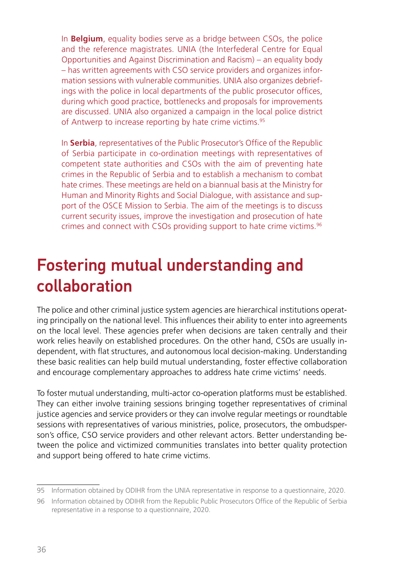<span id="page-35-0"></span>In **Belgium**, equality bodies serve as a bridge between CSOs, the police and the reference magistrates. UNIA (the Interfederal Centre for Equal Opportunities and Against Discrimination and Racism) – an equality body – has written agreements with CSO service providers and organizes information sessions with vulnerable communities. UNIA also organizes debriefings with the police in local departments of the public prosecutor offices, during which good practice, bottlenecks and proposals for improvements are discussed. UNIA also organized a campaign in the local police district of Antwerp to increase reporting by hate crime victims.<sup>95</sup>

In **Serbia**, representatives of the Public Prosecutor's Office of the Republic of Serbia participate in co-ordination meetings with representatives of competent state authorities and CSOs with the aim of preventing hate crimes in the Republic of Serbia and to establish a mechanism to combat hate crimes. These meetings are held on a biannual basis at the Ministry for Human and Minority Rights and Social Dialogue, with assistance and support of the OSCE Mission to Serbia. The aim of the meetings is to discuss current security issues, improve the investigation and prosecution of hate crimes and connect with CSOs providing support to hate crime victims.96

#### Fostering mutual understanding and collaboration

The police and other criminal justice system agencies are hierarchical institutions operating principally on the national level. This influences their ability to enter into agreements on the local level. These agencies prefer when decisions are taken centrally and their work relies heavily on established procedures. On the other hand, CSOs are usually independent, with flat structures, and autonomous local decision-making. Understanding these basic realities can help build mutual understanding, foster effective collaboration and encourage complementary approaches to address hate crime victims' needs.

To foster mutual understanding, multi-actor co-operation platforms must be established. They can either involve training sessions bringing together representatives of criminal justice agencies and service providers or they can involve regular meetings or roundtable sessions with representatives of various ministries, police, prosecutors, the ombudsperson's office, CSO service providers and other relevant actors. Better understanding between the police and victimized communities translates into better quality protection and support being offered to hate crime victims.

<sup>95</sup> Information obtained by ODIHR from the UNIA representative in response to a questionnaire, 2020.

<sup>96</sup> Information obtained by ODIHR from the Republic Public Prosecutors Office of the Republic of Serbia representative in a response to a questionnaire, 2020.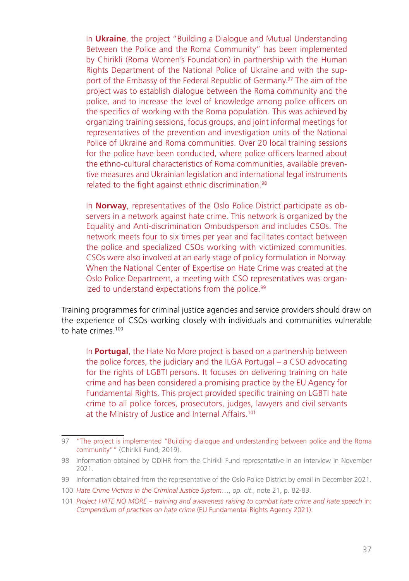In **Ukraine**, the project "Building a Dialogue and Mutual Understanding Between the Police and the Roma Community" has been implemented by Chirikli (Roma Women's Foundation) in partnership with the Human Rights Department of the National Police of Ukraine and with the support of the Embassy of the Federal Republic of Germany.<sup>97</sup> The aim of the project was to establish dialogue between the Roma community and the police, and to increase the level of knowledge among police officers on the specifics of working with the Roma population. This was achieved by organizing training sessions, focus groups, and joint informal meetings for representatives of the prevention and investigation units of the National Police of Ukraine and Roma communities. Over 20 local training sessions for the police have been conducted, where police officers learned about the ethno-cultural characteristics of Roma communities, available preventive measures and Ukrainian legislation and international legal instruments related to the fight against ethnic discrimination.<sup>98</sup>

In **Norway**, representatives of the Oslo Police District participate as observers in a network against hate crime. This network is organized by the Equality and Anti-discrimination Ombudsperson and includes CSOs. The network meets four to six times per year and facilitates contact between the police and specialized CSOs working with victimized communities. CSOs were also involved at an early stage of policy formulation in Norway. When the National Center of Expertise on Hate Crime was created at the Oslo Police Department, a meeting with CSO representatives was organized to understand expectations from the police.<sup>99</sup>

Training programmes for criminal justice agencies and service providers should draw on the experience of CSOs working closely with individuals and communities vulnerable to hate crimes.<sup>100</sup>

In **Portugal**, the Hate No More project is based on a partnership between the police forces, the judiciary and the ILGA Portugal – a CSO advocating for the rights of LGBTI persons. It focuses on delivering training on hate crime and has been considered a promising practice by the EU Agency for Fundamental Rights. This project provided specific training on LGBTI hate crime to all police forces, prosecutors, judges, lawyers and civil servants at the Ministry of Justice and Internal Affairs.101

<sup>97</sup> ["The project is implemented "Building dialogue and understanding between police and the Roma](http://www.chirikli.com.ua/index.php/ua/novini/item/257-vprovadzhuietsia-proekt-pobudova-dialohu-ta-vzaiemorozuminnia-mizh-politsiieiu-ta-romskoiu-hromadoiu) [community""](http://www.chirikli.com.ua/index.php/ua/novini/item/257-vprovadzhuietsia-proekt-pobudova-dialohu-ta-vzaiemorozuminnia-mizh-politsiieiu-ta-romskoiu-hromadoiu) (Chirikli Fund, 2019).

<sup>98</sup> Information obtained by ODIHR from the Chirikli Fund representative in an interview in November 2021.

<sup>99</sup> Information obtained from the representative of the Oslo Police District by email in December 2021.

<sup>100</sup> *[Hate Crime Victims in the Criminal Justice System](https://www.osce.org/odihr/447028)*…, *op. cit*., note 21, p. 82-83.

<sup>101</sup> *[Project HATE NO MORE – training and awareness raising to combat hate crime and hate speech](https://fra.europa.eu/en/theme/hate-crime/compendium-practices)* in: *[Compendium of practices on hate crime](https://fra.europa.eu/en/theme/hate-crime/compendium-practices)* (EU Fundamental Rights Agency 2021).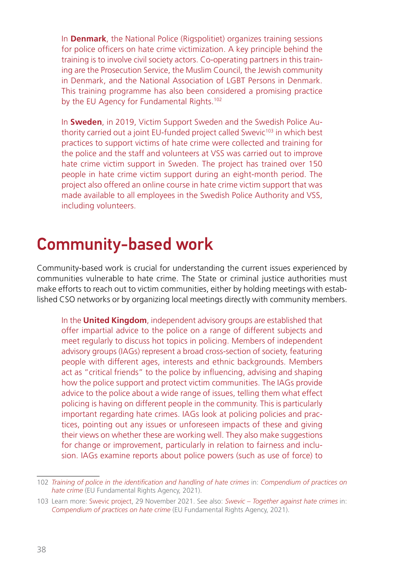<span id="page-37-0"></span>In **Denmark**, the National Police (Rigspolitiet) organizes training sessions for police officers on hate crime victimization. A key principle behind the training is to involve civil society actors. Co-operating partners in this training are the Prosecution Service, the Muslim Council, the Jewish community in Denmark, and the National Association of LGBT Persons in Denmark. This training programme has also been considered a promising practice by the EU Agency for Fundamental Rights.<sup>102</sup>

In **Sweden**, in 2019, Victim Support Sweden and the Swedish Police Authority carried out a joint EU-funded project called Swevic<sup>103</sup> in which best practices to support victims of hate crime were collected and training for the police and the staff and volunteers at VSS was carried out to improve hate crime victim support in Sweden. The project has trained over 150 people in hate crime victim support during an eight-month period. The project also offered an online course in hate crime victim support that was made available to all employees in the Swedish Police Authority and VSS, including volunteers.

#### Community-based work

Community-based work is crucial for understanding the current issues experienced by communities vulnerable to hate crime. The State or criminal justice authorities must make efforts to reach out to victim communities, either by holding meetings with established CSO networks or by organizing local meetings directly with community members.

In the **United Kingdom**, independent advisory groups are established that offer impartial advice to the police on a range of different subjects and meet regularly to discuss hot topics in policing. Members of independent advisory groups (IAGs) represent a broad cross-section of society, featuring people with different ages, interests and ethnic backgrounds. Members act as "critical friends" to the police by influencing, advising and shaping how the police support and protect victim communities. The IAGs provide advice to the police about a wide range of issues, telling them what effect policing is having on different people in the community. This is particularly important regarding hate crimes. IAGs look at policing policies and practices, pointing out any issues or unforeseen impacts of these and giving their views on whether these are working well. They also make suggestions for change or improvement, particularly in relation to fairness and inclusion. IAGs examine reports about police powers (such as use of force) to

<sup>102</sup> *[Training of police in the identification and handling of hate crimes](https://fra.europa.eu/en/promising-practices/training-police-identification-and-handling-hate-crimes-0)* in: *[Compendium of practices on](https://fra.europa.eu/en/theme/hate-crime/compendium-practices)  [hate crime](https://fra.europa.eu/en/theme/hate-crime/compendium-practices)* (EU Fundamental Rights Agency, 2021).

<sup>103</sup> Learn more: [Swevic project,](https://www.brottsofferjouren.se/en/swevic-together-against-hate-crimes/) 29 November 2021. See also: *[Swevic – Together against hate crimes](https://fra.europa.eu/en/promising-practices/swevic-together-against-hate-crimes)* in: *[Compendium of practices on hate crime](https://fra.europa.eu/en/theme/hate-crime/compendium-practices)* (EU Fundamental Rights Agency, 2021).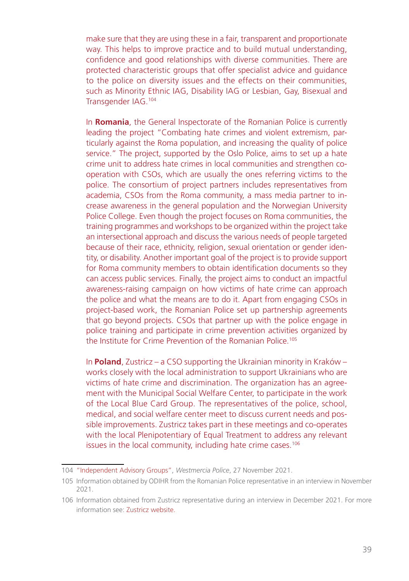make sure that they are using these in a fair, transparent and proportionate way. This helps to improve practice and to build mutual understanding, confidence and good relationships with diverse communities. There are protected characteristic groups that offer specialist advice and guidance to the police on diversity issues and the effects on their communities, such as Minority Ethnic IAG, Disability IAG or Lesbian, Gay, Bisexual and Transgender IAG.104

In **Romania**, the General Inspectorate of the Romanian Police is currently leading the project "Combating hate crimes and violent extremism, particularly against the Roma population, and increasing the quality of police service." The project, supported by the Oslo Police, aims to set up a hate crime unit to address hate crimes in local communities and strengthen cooperation with CSOs, which are usually the ones referring victims to the police. The consortium of project partners includes representatives from academia, CSOs from the Roma community, a mass media partner to increase awareness in the general population and the Norwegian University Police College. Even though the project focuses on Roma communities, the training programmes and workshops to be organized within the project take an intersectional approach and discuss the various needs of people targeted because of their race, ethnicity, religion, sexual orientation or gender identity, or disability. Another important goal of the project is to provide support for Roma community members to obtain identification documents so they can access public services. Finally, the project aims to conduct an impactful awareness-raising campaign on how victims of hate crime can approach the police and what the means are to do it. Apart from engaging CSOs in project-based work, the Romanian Police set up partnership agreements that go beyond projects. CSOs that partner up with the police engage in police training and participate in crime prevention activities organized by the Institute for Crime Prevention of the Romanian Police.<sup>105</sup>

In **Poland**, Zustricz – a CSO supporting the Ukrainian minority in Kraków – works closely with the local administration to support Ukrainians who are victims of hate crime and discrimination. The organization has an agreement with the Municipal Social Welfare Center, to participate in the work of the Local Blue Card Group. The representatives of the police, school, medical, and social welfare center meet to discuss current needs and possible improvements. Zustricz takes part in these meetings and co-operates with the local Plenipotentiary of Equal Treatment to address any relevant issues in the local community, including hate crime cases.<sup>106</sup>

<sup>104</sup> ["Independent Advisory Groups",](https://www.westmercia.police.uk/police-forces/west-mercia-police/areas/west-mercia/about-us/about-us/diversity-equality-and-inclusion/independent-advisory-groups/?__cf_chl_captcha_tk__=.tMytkyDczHMpZ8Vcxq_SX5JbnN08iG4JsDDdNSRYzw-1637993204-0-gaNycGzNC30) *Westmercia Police*, 27 November 2021.

<sup>105</sup> Information obtained by ODIHR from the Romanian Police representative in an interview in November 2021.

<sup>106</sup> Information obtained from Zustricz representative during an interview in December 2021. For more information see: [Zustricz website.](https://zustricz.pl/)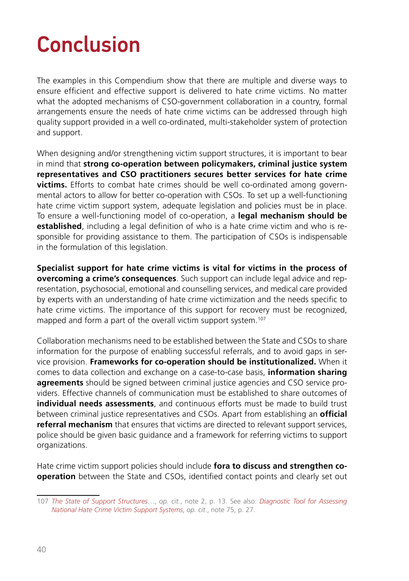# <span id="page-39-0"></span>Conclusion

The examples in this Compendium show that there are multiple and diverse ways to ensure efficient and effective support is delivered to hate crime victims. No matter what the adopted mechanisms of CSO-government collaboration in a country, formal arrangements ensure the needs of hate crime victims can be addressed through high quality support provided in a well co-ordinated, multi-stakeholder system of protection and support.

When designing and/or strengthening victim support structures, it is important to bear in mind that **strong co-operation between policymakers, criminal justice system representatives and CSO practitioners secures better services for hate crime victims.** Efforts to combat hate crimes should be well co-ordinated among governmental actors to allow for better co-operation with CSOs. To set up a well-functioning hate crime victim support system, adequate legislation and policies must be in place. To ensure a well-functioning model of co-operation, a **legal mechanism should be established**, including a legal definition of who is a hate crime victim and who is responsible for providing assistance to them. The participation of CSOs is indispensable in the formulation of this legislation.

**Specialist support for hate crime victims is vital for victims in the process of overcoming a crime's consequences**. Such support can include legal advice and representation, psychosocial, emotional and counselling services, and medical care provided by experts with an understanding of hate crime victimization and the needs specific to hate crime victims. The importance of this support for recovery must be recognized, mapped and form a part of the overall victim support system.<sup>107</sup>

Collaboration mechanisms need to be established between the State and CSOs to share information for the purpose of enabling successful referrals, and to avoid gaps in service provision. **Frameworks for co-operation should be institutionalized.** When it comes to data collection and exchange on a case-to-case basis, **information sharing agreements** should be signed between criminal justice agencies and CSO service providers. Effective channels of communication must be established to share outcomes of **individual needs assessments**, and continuous efforts must be made to build trust between criminal justice representatives and CSOs. Apart from establishing an **official referral mechanism** that ensures that victims are directed to relevant support services, police should be given basic guidance and a framework for referring victims to support organizations.

Hate crime victim support policies should include **fora to discuss and strengthen cooperation** between the State and CSOs, identified contact points and clearly set out

<sup>107</sup> *[The State of Support Structures](https://www.osce.org/odihr/467916)*…, *op. cit.*, note 2, p. 13. See also: *[Diagnostic Tool for Assessing](https://www.osce.org/odihr/506386)  [National Hate Crime Victim Support Systems](https://www.osce.org/odihr/506386)*, *op. cit*., note 75, p. 27.